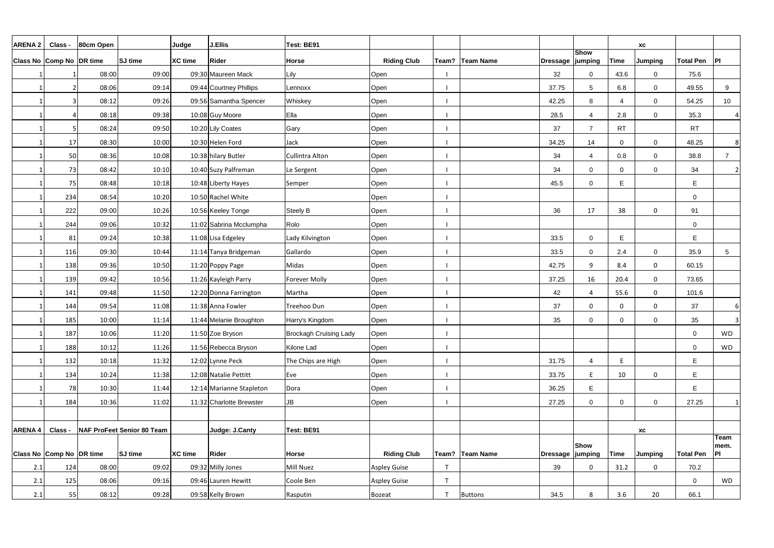| <b>ARENA 2</b> | <b>Class</b>             | 80cm Open |                                   | Judge          | <b>J.Ellis</b>           | Test: BE91                    |                    |                |                   |                    |                          |                          | XC             |                  |                 |
|----------------|--------------------------|-----------|-----------------------------------|----------------|--------------------------|-------------------------------|--------------------|----------------|-------------------|--------------------|--------------------------|--------------------------|----------------|------------------|-----------------|
|                | Class No Comp No DR time |           | <b>SJ</b> time                    | <b>XC time</b> | Rider                    | <b>Horse</b>                  | <b>Riding Club</b> |                | Team?   Team Name | Dressage   jumping | <b>Show</b>              | <b>Time</b>              | <b>Jumping</b> | <b>Total Pen</b> | P               |
|                |                          | 08:00     | 09:00                             |                | 09:30 Maureen Mack       | Lily                          | Open               |                |                   | 32                 | $\mathbf 0$              | 43.6                     | $\mathbf 0$    | 75.6             |                 |
|                |                          | 08:06     | 09:14                             |                | 09:44 Courtney Phillips  | Lennoxx                       | Open               |                |                   | 37.75              | 5                        | 6.8                      | $\overline{0}$ | 49.55            | 9               |
|                | 3                        | 08:12     | 09:26                             |                | 09:56 Samantha Spencer   | Whiskey                       | Open               |                |                   | 42.25              | 8                        | $\boldsymbol{\varDelta}$ | $\overline{0}$ | 54.25            | 10              |
|                |                          | 08:18     | 09:38                             |                | 10:08 Guy Moore          | Ella                          | Open               |                |                   | 28.5               | $\boldsymbol{\varDelta}$ | 2.8                      | $\mathbf 0$    | 35.3             | $\Delta$        |
|                |                          | 08:24     | 09:50                             |                | 10:20 Lily Coates        | Gary                          | Open               |                |                   | 37                 | $\overline{7}$           | <b>RT</b>                |                | <b>RT</b>        |                 |
|                | 17                       | 08:30     | 10:00                             |                | 10:30 Helen Ford         | Jack                          | Open               |                |                   | 34.25              | 14                       | $\Omega$                 | $\mathbf 0$    | 48.25            | 8 <sup>1</sup>  |
|                | 50                       | 08:36     | 10:08                             |                | 10:38 hilary Butler      | Cullintra Alton               | Open               |                |                   | 34                 | $\boldsymbol{\varDelta}$ | 0.8                      | $\overline{0}$ | 38.8             | $\overline{7}$  |
|                | 73                       | 08:42     | 10:10                             |                | 10:40 Suzy Palfreman     | Le Sergent                    | Open               |                |                   | 34                 | $\Omega$                 | $\Omega$                 | $\mathbf 0$    | 34               | $\overline{2}$  |
|                | 75                       | 08:48     | 10:18                             |                | 10:48 Liberty Hayes      | Semper                        | Open               |                |                   | 45.5               | $\Omega$                 | E                        |                | E                |                 |
|                | 234                      | 08:54     | 10:20                             |                | 10:50 Rachel White       |                               | Open               |                |                   |                    |                          |                          |                | $\mathbf 0$      |                 |
|                | 222                      | 09:00     | 10:26                             |                | 10:56 Keeley Tonge       | Steely B                      | Open               |                |                   | 36                 | 17                       | 38                       | $\mathbf 0$    | 91               |                 |
|                | 244                      | 09:06     | 10:32                             |                | 11:02 Sabrina Mcclumpha  | Rolo                          | Open               |                |                   |                    |                          |                          |                | $\mathbf 0$      |                 |
|                | 81                       | 09:24     | 10:38                             |                | 11:08 Lisa Edgeley       | Lady Kilvington               | Open               |                |                   | 33.5               | 0                        | E                        |                | E                |                 |
|                | 116                      | 09:30     | 10:44                             |                | 11:14 Tanya Bridgeman    | Gallardo                      | Open               |                |                   | 33.5               | $\Omega$                 | 2.4                      | $\mathbf 0$    | 35.9             | $5\phantom{.0}$ |
|                | 138                      | 09:36     | 10:50                             |                | 11:20 Poppy Page         | Midas                         | Open               |                |                   | 42.75              | 9                        | 8.4                      | $\mathsf{O}$   | 60.15            |                 |
|                | 139                      | 09:42     | 10:56                             |                | 11:26 Kayleigh Parry     | <b>Forever Molly</b>          | Open               |                |                   | 37.25              | 16                       | 20.4                     | $\mathbf 0$    | 73.65            |                 |
|                | 141                      | 09:48     | 11:50                             |                | 12:20 Donna Farrington   | Martha                        | Open               |                |                   | 42                 | $\Delta$                 | 55.6                     | $\mathbf 0$    | 101.6            |                 |
|                | 144                      | 09:54     | 11:08                             |                | 11:38 Anna Fowler        | Treehoo Dun                   | Open               |                |                   | 37                 | 0                        | $\mathbf{0}$             | 0              | 37               | 6I              |
|                | 185                      | 10:00     | 11:14                             |                | 11:44 Melanie Broughton  | Harry's Kingdom               | Open               |                |                   | 35                 | $\Omega$                 | $\cap$                   | $\mathbf 0$    | 35               |                 |
|                | 187                      | 10:06     | 11:20                             |                | 11:50 Zoe Bryson         | <b>Brockagh Cruising Lady</b> | Open               |                |                   |                    |                          |                          |                | $\mathbf 0$      | <b>WD</b>       |
|                | 188                      | 10:12     | 11:26                             |                | 11:56 Rebecca Bryson     | Kilone Lad                    | Open               |                |                   |                    |                          |                          |                | $\mathbf 0$      | WD              |
|                | 132                      | 10:18     | 11:32                             |                | 12:02 Lynne Peck         | The Chips are High            | Open               |                |                   | 31.75              | 4                        | E                        |                | E                |                 |
|                | 134                      | 10:24     | 11:38                             |                | 12:08 Natalie Pettitt    | Eve                           | Open               |                |                   | 33.75              | E                        | 10                       | 0              | E                |                 |
|                | 78                       | 10:30     | 11:44                             |                | 12:14 Marianne Stapleton | Dora                          | Open               |                |                   | 36.25              | E.                       |                          |                | E                |                 |
|                | 184                      | 10:36     | 11:02                             |                | 11:32 Charlotte Brewster | JB                            | Open               |                |                   | 27.25              | $\Omega$                 | $\Omega$                 | $\overline{0}$ | 27.25            | 1               |
|                |                          |           |                                   |                |                          |                               |                    |                |                   |                    |                          |                          |                |                  |                 |
| <b>ARENA4</b>  | <b>Class</b>             |           | <b>NAF ProFeet Senior 80 Team</b> |                | Judge: J.Canty           | Test: BE91                    |                    |                |                   |                    |                          |                          | XC             |                  | Team            |
|                |                          |           |                                   |                |                          |                               |                    |                |                   |                    | <b>Show</b>              |                          |                |                  | mem.            |
|                | Class No Comp No DR time |           | <b>SJ</b> time                    | <b>XC time</b> | <b>Rider</b>             | Horse                         | <b>Riding Club</b> |                | Team?   Team Name | Dressage   jumping |                          | <b>Time</b>              | <b>Jumping</b> | <b>Total Pen</b> | P               |
| 2.1            | 124                      | 08:00     | 09:02                             |                | 09:32 Milly Jones        | Mill Nuez                     | Aspley Guise       | $\mathbf \tau$ |                   | 39                 | 0                        | 31.2                     | $\mathbf 0$    | 70.2             |                 |
| 2.1            | 125                      | 08:06     | 09:16                             |                | 09:46 Lauren Hewitt      | Coole Ben                     | Aspley Guise       |                |                   |                    |                          |                          |                | $\overline{0}$   | WD              |
| 2.1            | 55                       | 08:12     | 09:28                             |                | 09:58 Kelly Brown        | Rasputin                      | Bozeat             |                | <b>Buttons</b>    | 34.5               | 8                        | 3.6                      | 20             | 66.1             |                 |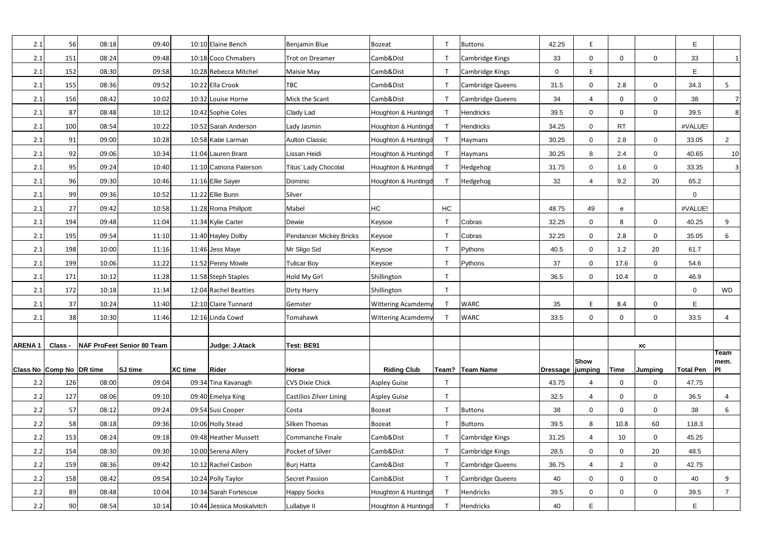| 2.1           | 56                       | 08:18 | 09:40                             |                | 10:10 Elaine Bench        | Benjamin Blue                  | <b>Bozeat</b>             |                | <b>Buttons</b>   | 42.25             | E            |                |                | E                |                |
|---------------|--------------------------|-------|-----------------------------------|----------------|---------------------------|--------------------------------|---------------------------|----------------|------------------|-------------------|--------------|----------------|----------------|------------------|----------------|
| 2.1           | 151                      | 08:24 | 09:48                             |                | 10:18 Coco Chmabers       | <b>Trot on Dreamer</b>         | Camb&Dist                 |                | Cambridge Kings  | 33                | 0            | $\mathbf{0}$   | $\mathbf 0$    | 33               | 1 <sup>1</sup> |
| 2.1           | 152                      | 08:30 | 09:58                             |                | 10:28 Rebecca Mitchel     | Maisie May                     | Camb&Dist                 |                | Cambridge Kings  | $\mathbf 0$       | E.           |                |                | E                |                |
| 2.1           | 155                      | 08:36 | 09:52                             |                | 10:22 Ella Crook          | TBC                            | Camb&Dist                 |                | Cambridge Queens | 31.5              | 0            | 2.8            | $\mathbf 0$    | 34.3             | 5              |
| 2.1           | 156                      | 08:42 | 10:02                             |                | 10:32 Louise Horne        | Mick the Scant                 | Camb&Dist                 |                | Cambridge Queens | 34                | 4            | $\mathbf{0}$   | $\mathbf 0$    | 38               |                |
| 2.1           | 87                       | 08:48 | 10:12                             |                | 10:42 Sophie Coles        | Clady Lad                      | Houghton & Huntingd       |                | Hendricks        | 39.5              | 0            | $\Omega$       | $\mathbf 0$    | 39.5             | 8              |
| 2.1           | 100                      | 08:54 | 10:22                             |                | 10:52 Sarah Anderson      | Lady Jasmin                    | Houghton & Huntingd       |                | Hendricks        | 34.25             | $\mathbf 0$  | <b>RT</b>      |                | #VALUE!          |                |
| 2.1           | 91                       | 09:00 | 10:28                             |                | 10:58 Katie Larman        | <b>Aulton Classic</b>          | Houghton & Huntingd       |                | Haymans          | 30.25             | $\mathbf 0$  | 2.8            | $\mathbf 0$    | 33.05            | $\overline{2}$ |
| 2.1           | 92                       | 09:06 | 10:34                             |                | 11:04 Lauren Brant        | Lissan Heidi                   | Houghton & Huntingd       |                | Haymans          | 30.25             | 8            | 2.4            | $\mathbf 0$    | 40.65            | 10             |
| 2.1           | 95                       | 09:24 | 10:40                             |                | 11:10 Catriona Paterson   | <b>Titus' Lady Chocolat</b>    | Houghton & Huntingd       |                | Hedgehog         | 31.75             | $\mathbf 0$  | 1.6            | $\mathbf 0$    | 33.35            | 3 <sup>1</sup> |
| 2.1           | 96                       | 09:30 | 10:46                             |                | 11:16 Ellie Sayer         | Dominic                        | Houghton & Huntingd       |                | Hedgehog         | 32                | 4            | 9.2            | 20             | 65.2             |                |
| 2.1           | 99                       | 09:36 | 10:52                             |                | 11:22 Ellie Bunn          | Silver                         |                           |                |                  |                   |              |                |                | $\mathbf 0$      |                |
| 2.1           | 27                       | 09:42 | 10:58                             |                | 11:28 Roma Phillpott      | Mabel                          | <b>HC</b>                 | HC             |                  | 48.75             | 49           | e              |                | #VALUE!          |                |
| 2.1           | 194                      | 09:48 | 11:04                             |                | 11:34 Kylie Carter        | Dewie                          | Keysoe                    |                | Cobras           | 32.25             | $\mathbf 0$  | 8              | $\mathbf 0$    | 40.25            | 9              |
| 2.1           | 195                      | 09:54 | 11:10                             |                | 11:40 Hayley Dolby        | <b>Pendancer Mickey Bricks</b> | Keysoe                    |                | Cobras           | 32.25             | $\mathbf{0}$ | 2.8            | $\mathbf 0$    | 35.05            | 6              |
| 2.1           | 198                      | 10:00 | 11:16                             |                | 11:46 Jess Maye           | Mr Sligo Sid                   | Keysoe                    |                | Pythons          | 40.5              | 0            | 1.2            | 20             | 61.7             |                |
| 2.1           | 199                      | 10:06 | 11:22                             |                | 11:52 Penny Mowle         | Tulicar Boy                    | Keysoe                    |                | Pythons          | 37                | 0            | 17.6           | $\mathbf 0$    | 54.6             |                |
| 2.1           | 171                      | 10:12 | 11:28                             |                | 11:58 Steph Staples       | Hold My Girl                   | Shillington               |                |                  | 36.5              | 0            | 10.4           | $\mathbf 0$    | 46.9             |                |
| 2.1           | 172                      | 10:18 | 11:34                             |                | 12:04 Rachel Beatties     | Dirty Harry                    | Shillington               | $\mathsf{T}$   |                  |                   |              |                |                | $\overline{0}$   | <b>WD</b>      |
| 2.1           | 37                       | 10:24 | 11:40                             |                | 12:10 Claire Tunnard      | Gemster                        | <b>Wittering Acamdemy</b> |                | <b>WARC</b>      | 35                | E            | 8.4            | $\mathbf 0$    | E                |                |
| 2.1           | 38                       | 10:30 | 11:46                             |                | 12:16 Linda Cowd          | Tomahawk                       | <b>Wittering Acamdemy</b> |                | <b>WARC</b>      | 33.5              | 0            | 0              | $\mathbf 0$    | 33.5             | 4              |
|               |                          |       |                                   |                |                           |                                |                           |                |                  |                   |              |                |                |                  |                |
| <b>ARENA1</b> | Class .                  |       | <b>NAF ProFeet Senior 80 Team</b> |                | Judge: J.Atack            | Test: BE91                     |                           |                |                  |                   |              |                | <b>XC</b>      |                  |                |
|               |                          |       |                                   |                |                           |                                |                           |                |                  |                   | <b>Show</b>  |                |                |                  | Team<br>mem.   |
|               | Class No Comp No DR time |       | <b>SJ</b> time                    | <b>XC</b> time | <b>Rider</b>              | <b>Horse</b>                   | <b>Riding Club</b>        |                | Team? Team Name  | Dressage  jumping |              | <b>Time</b>    | <b>Jumping</b> | <b>Total Pen</b> | PI             |
| 2.2           | 126                      | 08:00 | 09:04                             |                | 09:34 Tina Kavanagh       | <b>CVS Dixie Chick</b>         | Aspley Guise              | $\mathsf{T}$   |                  | 43.75             | 4            | $\Omega$       | $\mathbf 0$    | 47.75            |                |
| 2.2           | 127                      | 08:06 | 09:10                             |                | 09:40 Emelya King         | <b>Castilios Zilver Lining</b> | Aspley Guise              | $\mathbf \tau$ |                  | 32.5              | 4            | $\mathbf{0}$   | $\mathbf 0$    | 36.5             | 4              |
| 2.2           | 57                       | 08:12 | 09:24                             |                | 09:54 Susi Cooper         | Costa                          | Bozeat                    |                | <b>Buttons</b>   | 38                | 0            | $\Omega$       | $\mathbf 0$    | 38               | 6              |
| 2.2           | 58                       | 08:18 | 09:36                             |                | 10:06 Holly Stead         | Silken Thomas                  | <b>Bozeat</b>             |                | <b>Buttons</b>   | 39.5              | 8            | 10.8           | 60             | 118.3            |                |
| 2.2           | 153                      | 08:24 | 09:18                             |                | 09:48 Heather Mussett     | Commanche Finale               | Camb&Dist                 |                | Cambridge Kings  | 31.25             | 4            | 10             | $\mathsf{O}$   | 45.25            |                |
| 2.2           | 154                      | 08:30 | 09:30                             |                | 10:00 Serena Allery       | Pocket of Silver               | Camb&Dist                 |                | Cambridge Kings  | 28.5              | $\mathbf 0$  | $\Omega$       | 20             | 48.5             |                |
| 2.2           | 159                      | 08:36 | 09:42                             |                | 10:12 Rachel Casbon       | <b>Burj Hatta</b>              | Camb&Dist                 |                | Cambridge Queens | 36.75             | Δ            | $\overline{2}$ | $\mathbf 0$    | 42.75            |                |
| 2.2           | 158                      | 08:42 | 09:54                             |                | 10:24 Polly Taylor        | <b>Secret Passion</b>          | Camb&Dist                 |                | Cambridge Queens | 40                | 0            | $\Omega$       | $\mathbf 0$    | 40               | 9              |
| 2.2           | 89                       | 08:48 | 10:04                             |                | 10:34 Sarah Fortescue     | <b>Happy Socks</b>             | Houghton & Huntingd       |                | Hendricks        | 39.5              | $\mathbf 0$  | $\Omega$       | $\mathbf 0$    | 39.5             | $\overline{7}$ |
| 2.2           | 90                       | 08:54 | 10:14                             |                | 10:44 Jessica Moskalvitch | Lullabye II                    | Houghton & Huntingd       |                | Hendricks        | 40                | E            |                |                | E                |                |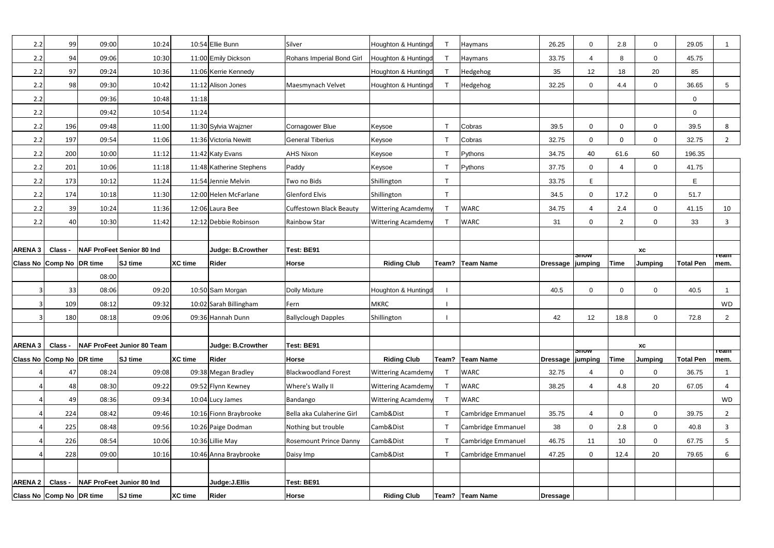| 2.2            | 99                       | 09:00 | 10:24                             |                | 10:54 Ellie Bunn         | Silver                         | Houghton & Huntingd       |              | Haymans            | 26.25              | 0                        | 2.8            | $\overline{0}$             | 29.05            |                     |
|----------------|--------------------------|-------|-----------------------------------|----------------|--------------------------|--------------------------------|---------------------------|--------------|--------------------|--------------------|--------------------------|----------------|----------------------------|------------------|---------------------|
| 2.2            | 94                       | 09:06 | 10:30                             |                | 11:00 Emily Dickson      | Rohans Imperial Bond Girl      | Houghton & Huntingd       |              | Haymans            | 33.75              | $\overline{\mathcal{L}}$ | 8              | $\mathbf 0$                | 45.75            |                     |
| 2.2            | 97                       | 09:24 | 10:36                             |                | 11:06 Kerrie Kennedy     |                                | Houghton & Huntingd       |              | Hedgehog           | 35                 | 12                       | 18             | 20                         | 85               |                     |
| 2.2            | 98                       | 09:30 | 10:42                             |                | 11:12 Alison Jones       | Maesmynach Velvet              | Houghton & Huntingd       |              | Hedgehog           | 32.25              | 0                        | 4.4            | $\mathbf 0$                | 36.65            | $5\phantom{.0}$     |
| 2.2            |                          | 09:36 | 10:48                             | 11:18          |                          |                                |                           |              |                    |                    |                          |                |                            | $\mathbf 0$      |                     |
| 2.2            |                          | 09:42 | 10:54                             | 11:24          |                          |                                |                           |              |                    |                    |                          |                |                            | $\mathbf 0$      |                     |
| 2.2            | 196                      | 09:48 | 11:00                             |                | 11:30 Sylvia Wajzner     | <b>Cornagower Blue</b>         | Keysoe                    |              | Cobras             | 39.5               | $\Omega$                 | $\Omega$       | $\mathbf 0$                | 39.5             | 8                   |
| 2.2            | 197                      | 09:54 | 11:06                             |                | 11:36 Victoria Newitt    | <b>General Tiberius</b>        | Keysoe                    |              | Cobras             | 32.75              | $\Omega$                 | $\cap$         | $\mathbf 0$                | 32.75            | $\overline{2}$      |
| 2.2            | 200                      | 10:00 | 11:12                             |                | 11:42 Katy Evans         | <b>AHS Nixon</b>               | Keysoe                    |              | Pythons            | 34.75              | 40                       | 61.6           | 60                         | 196.35           |                     |
| 2.2            | 201                      | 10:06 | 11:18                             |                | 11:48 Katherine Stephens | Paddy                          | Keysoe                    | ா            | Pythons            | 37.75              | $\Omega$                 | $\Delta$       | $\mathsf{O}$               | 41.75            |                     |
| 2.2            | 173                      | 10:12 | 11:24                             |                | 11:54 Jennie Melvin      | Two no Bids                    | Shillington               | $\mathsf{T}$ |                    | 33.75              | F.                       |                |                            | E                |                     |
| 2.2            | 174                      | 10:18 | 11:30                             |                | 12:00 Helen McFarlane    | <b>Glenford Elvis</b>          | Shillington               | $\mathsf{T}$ |                    | 34.5               | $\Omega$                 | 17.2           | $\mathbf 0$                | 51.7             |                     |
| 2.2            | 39                       | 10:24 | 11:36                             |                | 12:06 Laura Bee          | <b>Cuffestown Black Beauty</b> | <b>Wittering Acamdemy</b> |              | <b>WARC</b>        | 34.75              | $\Delta$                 | 2.4            | $\mathbf 0$                | 41.15            | 10                  |
| 2.2            | 40                       | 10:30 | 11:42                             |                | 12:12 Debbie Robinson    | <b>Rainbow Star</b>            | <b>Wittering Acamdemy</b> |              | <b>WARC</b>        | 31                 | $\mathbf{0}$             | $\overline{2}$ | $\mathbf 0$                | 33               | 3                   |
|                |                          |       |                                   |                |                          |                                |                           |              |                    |                    |                          |                |                            |                  |                     |
| <b>ARENA3</b>  | Class -                  |       | <b>NAF ProFeet Senior 80 Ind</b>  |                | Judge: B.Crowther        | Test: BE91                     |                           |              |                    |                    | <b>anow</b>              |                | $\boldsymbol{\mathsf{XC}}$ |                  | ⊤eam                |
|                | Class No Comp No DR time |       | <b>SJ</b> time                    | <b>XC</b> time | <b>Rider</b>             | Horse                          | <b>Riding Club</b>        |              | Team? Team Name    | Dressage   jumping |                          | <b>Time</b>    | <b>Jumping</b>             | <b>Total Pen</b> | mem.                |
|                |                          | 08:00 |                                   |                |                          |                                |                           |              |                    |                    |                          |                |                            |                  |                     |
|                | 33                       | 08:06 | 09:20                             |                | 10:50 Sam Morgan         | <b>Dolly Mixture</b>           | Houghton & Huntingd       |              |                    | 40.5               | $\Omega$                 | $\Omega$       | $\overline{0}$             | 40.5             |                     |
|                | 109                      | 08:12 | 09:32                             |                | 10:02 Sarah Billingham   | Fern                           | MKRC                      |              |                    |                    |                          |                |                            |                  | <b>WD</b>           |
|                | 180                      | 08:18 | 09:06                             |                | 09:36 Hannah Dunn        | <b>Ballyclough Dapples</b>     | Shillington               |              |                    | 42                 | 12                       | 18.8           | $\mathbf 0$                | 72.8             | $\overline{2}$      |
|                |                          |       |                                   |                |                          |                                |                           |              |                    |                    |                          |                |                            |                  |                     |
| ARENA 3        | <b>Class</b>             |       |                                   |                |                          |                                |                           |              |                    |                    |                          |                |                            |                  |                     |
|                |                          |       | <b>NAF ProFeet Junior 80 Team</b> |                | Judge: B.Crowther        | Test: BE91                     |                           |              |                    |                    |                          |                | <b>XC</b>                  |                  |                     |
|                | Class No Comp No DR time |       | <b>SJ</b> time                    | XC time        | Rider                    | Horse                          | <b>Riding Club</b>        |              | Team?   Team Name  | Dressage   jumping | snow                     | <b>Time</b>    | <b>Jumping</b>             | <b>Total Pen</b> | <b>Team</b><br>mem. |
|                | 47                       | 08:24 | 09:08                             |                | 09:38 Megan Bradley      | <b>Blackwoodland Forest</b>    | <b>Wittering Acamdemy</b> |              | <b>WARC</b>        | 32.75              |                          | $\Omega$       | $\mathbf 0$                | 36.75            | $\mathbf{1}$        |
|                | 48                       | 08:30 | 09:22                             |                | 09:52 Flynn Kewney       | Where's Wally II               | <b>Wittering Acamdemy</b> |              | <b>WARC</b>        | 38.25              |                          | 4.8            | 20                         | 67.05            | 4                   |
|                | 49                       | 08:36 | 09:34                             |                | 10:04 Lucy James         | Bandango                       | <b>Wittering Acamdemy</b> |              | <b>WARC</b>        |                    |                          |                |                            |                  | WD                  |
|                | 224                      | 08:42 | 09:46                             |                | 10:16 Fionn Braybrooke   | Bella aka Culaherine Girl      | Camb&Dist                 |              | Cambridge Emmanuel | 35.75              | $\overline{4}$           | $\mathbf{0}$   | $\mathsf{O}$               | 39.75            | $\overline{2}$      |
|                | 225                      | 08:48 | 09:56                             |                | 10:26 Paige Dodman       | Nothing but trouble            | Camb&Dist                 |              | Cambridge Emmanuel | 38                 | $\Omega$                 | 2.8            | $\mathbf 0$                | 40.8             | $\mathbf{3}$        |
|                | 226                      | 08:54 | 10:06                             |                | 10:36 Lillie May         | <b>Rosemount Prince Danny</b>  | Camb&Dist                 |              | Cambridge Emmanuel | 46.75              | 11                       | 10             | $\mathbf 0$                | 67.75            | 5                   |
|                | 228                      | 09:00 | 10:16                             |                | 10:46 Anna Braybrooke    | Daisy Imp                      | Camb&Dist                 |              | Cambridge Emmanuel | 47.25              | $\Omega$                 | 12.4           | 20                         | 79.65            | 6                   |
|                |                          |       |                                   |                |                          |                                |                           |              |                    |                    |                          |                |                            |                  |                     |
| <b>ARENA 2</b> | Class -                  |       | NAF ProFeet Junior 80 Ind         |                | Judge: J. Ellis          | Test: BE91                     |                           |              |                    |                    |                          |                |                            |                  |                     |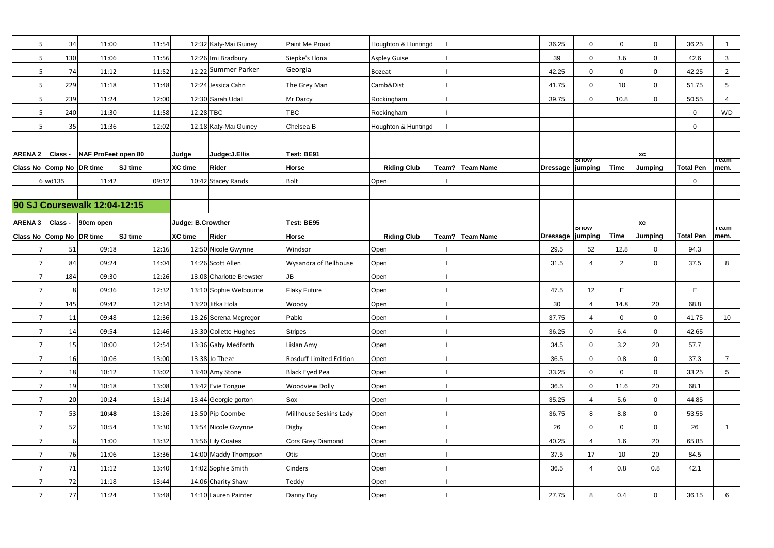| 5              | 34                       | 11:00                        | 11:54          |                   | 12:32 Katy-Mai Guiney    | Paint Me Proud                 | Houghton & Huntingd |                 | 36.25              | $\Omega$               | $\Omega$    | $\overline{0}$   | 36.25            |                     |
|----------------|--------------------------|------------------------------|----------------|-------------------|--------------------------|--------------------------------|---------------------|-----------------|--------------------|------------------------|-------------|------------------|------------------|---------------------|
|                | 130                      | 11:06                        | 11:56          |                   | 12:26 Imi Bradbury       | Siepke's Llona                 | Aspley Guise        |                 | 39                 | 0                      | 3.6         | 0                | 42.6             | 3                   |
|                | 74                       | 11:12                        | 11:52          |                   | 12:22 Summer Parker      | Georgia                        | Bozeat              |                 | 42.25              | 0                      | $\Omega$    | $\mathbf 0$      | 42.25            | $\overline{2}$      |
|                | 229                      | 11:18                        | 11:48          |                   | 12:24 Jessica Cahn       | The Grey Man                   | Camb&Dist           |                 | 41.75              | $\Omega$               | 10          | 0                | 51.75            | 5                   |
|                | 239                      | 11:24                        | 12:00          |                   | 12:30 Sarah Udall        | Mr Darcy                       | Rockingham          |                 | 39.75              | $\Omega$               | 10.8        | $\overline{0}$   | 50.55            | $\overline{4}$      |
|                | 240                      | 11:30                        | 11:58          | 12:28 TBC         |                          | <b>TBC</b>                     | Rockingham          |                 |                    |                        |             |                  | $\mathbf 0$      | <b>WD</b>           |
|                | 35                       | 11:36                        | 12:02          |                   | 12:18 Katy-Mai Guiney    | Chelsea B                      | Houghton & Huntingd |                 |                    |                        |             |                  | $\mathbf 0$      |                     |
|                |                          |                              |                |                   |                          |                                |                     |                 |                    |                        |             |                  |                  |                     |
| <b>ARENA 2</b> | Class -                  | NAF ProFeet open 80          |                | Judge             | Judge: J. Ellis          | Test: BE91                     |                     |                 |                    |                        |             | XC               |                  |                     |
|                | Class No Comp No DR time |                              | <b>SJ</b> time | <b>XC</b> time    | <b>Rider</b>             | Horse                          | <b>Riding Club</b>  | Team? Team Name | Dressage   jumping | <del>onow</del>        | <b>Time</b> | <b>Jumping</b>   | <b>Total Pen</b> | <b>Team</b><br>mem. |
|                | 6 wd135                  | 11:42                        | 09:12          |                   | 10:42 Stacey Rands       | <b>Bolt</b>                    | Open                |                 |                    |                        |             |                  | $\mathbf 0$      |                     |
|                |                          |                              |                |                   |                          |                                |                     |                 |                    |                        |             |                  |                  |                     |
|                |                          | 90 SJ Coursewalk 12:04-12:15 |                |                   |                          |                                |                     |                 |                    |                        |             |                  |                  |                     |
| ARENA 3        | Class -                  | 90cm open                    |                | Judge: B.Crowther |                          | Test: BE95                     |                     |                 |                    |                        |             | XC               |                  |                     |
|                | Class No Comp No DR time |                              | SJ time        | <b>XC time</b>    | <b>Rider</b>             | <b>Horse</b>                   | <b>Riding Club</b>  | Team? Team Name | Dressage           | <b>SNOW</b><br>jumping | <b>Time</b> | Jumping          | <b>Total Pen</b> | <b>Team</b><br>mem. |
|                | 51                       | 09:18                        | 12:16          |                   | 12:50 Nicole Gwynne      | Windsor                        | Open                |                 | 29.5               | 52                     | 12.8        | $\mathbf 0$      | 94.3             |                     |
| $\overline{7}$ | 84                       | 09:24                        | 14:04          |                   | 14:26 Scott Allen        | Wysandra of Bellhouse          | Open                |                 | 31.5               |                        | 2           | $\overline{0}$   | 37.5             | 8                   |
|                | 184                      | 09:30                        | 12:26          |                   | 13:08 Charlotte Brewster | JB                             | Open                |                 |                    |                        |             |                  |                  |                     |
|                | 8                        | 09:36                        | 12:32          |                   | 13:10 Sophie Welbourne   | <b>Flaky Future</b>            | Open                |                 | 47.5               | 12                     | E           |                  | E                |                     |
|                | 145                      | 09:42                        | 12:34          |                   | 13:20 Jitka Hola         | Woody                          | Open                |                 | 30                 | Δ                      | 14.8        | 20               | 68.8             |                     |
|                | 11                       | 09:48                        | 12:36          |                   | 13:26 Serena Mcgregor    | Pablo                          | Open                |                 | 37.75              |                        | $\Omega$    | $\overline{0}$   | 41.75            | 10 <sup>°</sup>     |
| $\overline{7}$ | 14                       | 09:54                        | 12:46          |                   | 13:30 Collette Hughes    | <b>Stripes</b>                 | Open                |                 | 36.25              | $\mathbf 0$            | 6.4         | $\boldsymbol{0}$ | 42.65            |                     |
| $\overline{7}$ | 15                       | 10:00                        | 12:54          |                   | 13:36 Gaby Medforth      | Lislan Amy                     | Open                |                 | 34.5               | 0                      | 3.2         | 20               | 57.7             |                     |
|                | 16                       | 10:06                        | 13:00          |                   | $13:38$ Jo Theze         | <b>Rosduff Limited Edition</b> | Open                |                 | 36.5               | 0                      | 0.8         | $\overline{0}$   | 37.3             | $\overline{7}$      |
|                | 18                       | 10:12                        | 13:02          |                   | 13:40 Amy Stone          | <b>Black Eyed Pea</b>          | Open                |                 | 33.25              | 0                      | $\Omega$    | $\overline{0}$   | 33.25            | 5 <sup>5</sup>      |
| $\overline{7}$ | 19                       | 10:18                        | 13:08          |                   | 13:42 Evie Tongue        | Woodview Dolly                 | Open                |                 | 36.5               | 0                      | 11.6        | 20               | 68.1             |                     |
| $\overline{7}$ | 20                       | 10:24                        | 13:14          |                   | 13:44 Georgie gorton     | Sox                            | Open                |                 | 35.25              | $\overline{4}$         | 5.6         | $\overline{0}$   | 44.85            |                     |
|                | 53                       | 10:48                        | 13:26          |                   | 13:50 Pip Coombe         | Millhouse Seskins Lady         | Open                |                 | 36.75              | 8                      | 8.8         | $\overline{0}$   | 53.55            |                     |
|                | 52                       | 10:54                        | 13:30          |                   | 13:54 Nicole Gwynne      | Digby                          | Open                |                 | 26                 | 0                      | $\Omega$    | $\overline{0}$   | 26               |                     |
| $\overline{7}$ | 6                        | 11:00                        | 13:32          |                   | 13:56 Lily Coates        | Cors Grey Diamond              | Open                |                 | 40.25              | $\overline{A}$         | 1.6         | 20               | 65.85            |                     |
| $\overline{7}$ | 76                       | 11:06                        | 13:36          |                   | 14:00 Maddy Thompson     | Otis                           | Open                |                 | 37.5               | 17                     | 10          | 20               | 84.5             |                     |
|                | 71                       | 11:12                        | 13:40          |                   | 14:02 Sophie Smith       | Cinders                        | Open                |                 | 36.5               | $\overline{4}$         | 0.8         | 0.8              | 42.1             |                     |
|                | 72                       | 11:18                        | 13:44          |                   | 14:06 Charity Shaw       | Teddy                          | Open                |                 |                    |                        |             |                  |                  |                     |
| 7              | 77                       | 11:24                        | 13:48          |                   | 14:10 Lauren Painter     | Danny Boy                      | Open                |                 | 27.75              | 8                      | 0.4         | $\overline{0}$   | 36.15            | 6                   |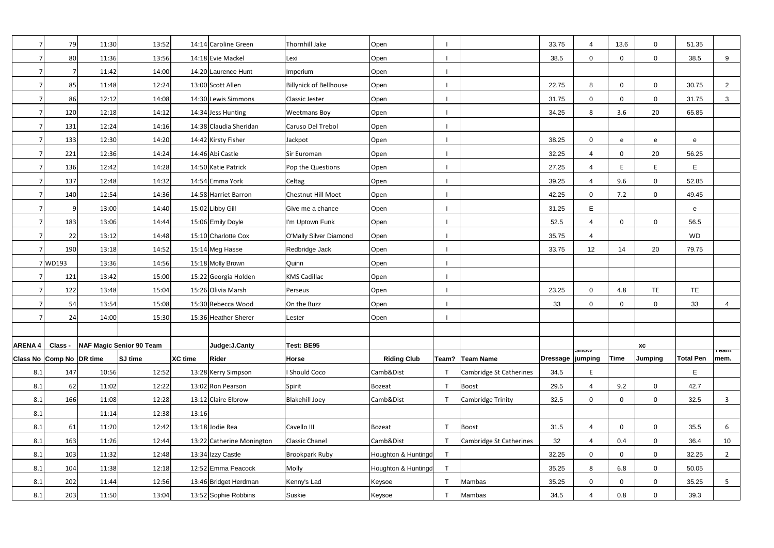|               | 79                       | 11:30 | 13:52                    |                | 14:14 Caroline Green      | Thornhill Jake                | Open                |              |                         | 33.75              | $\overline{\mathcal{A}}$ | 13.6           | $\mathbf{0}$   | 51.35            |                   |
|---------------|--------------------------|-------|--------------------------|----------------|---------------------------|-------------------------------|---------------------|--------------|-------------------------|--------------------|--------------------------|----------------|----------------|------------------|-------------------|
|               | 80                       | 11:36 | 13:56                    |                | 14:18 Evie Mackel         | Lexi                          | Open                |              |                         | 38.5               | 0                        | $\overline{0}$ | $\mathbf 0$    | 38.5             | 9                 |
|               |                          | 11:42 | 14:00                    |                | 14:20 Laurence Hunt       | Imperium                      | Open                |              |                         |                    |                          |                |                |                  |                   |
|               | 85                       | 11:48 | 12:24                    |                | 13:00 Scott Allen         | <b>Billynick of Bellhouse</b> | Open                |              |                         | 22.75              | 8                        | $\Omega$       | $\mathbf 0$    | 30.75            | $\overline{2}$    |
|               | 86                       | 12:12 | 14:08                    |                | 14:30 Lewis Simmons       | Classic Jester                | Open                |              |                         | 31.75              | 0                        | $\overline{0}$ | $\overline{0}$ | 31.75            | $\mathbf{3}$      |
|               | 120                      | 12:18 | 14:12                    |                | 14:34 Jess Hunting        | <b>Weetmans Boy</b>           | Open                |              |                         | 34.25              | 8                        | 3.6            | 20             | 65.85            |                   |
|               | 131                      | 12:24 | 14:16                    |                | 14:38 Claudia Sheridan    | Caruso Del Trebol             | Open                |              |                         |                    |                          |                |                |                  |                   |
|               | 133                      | 12:30 | 14:20                    |                | 14:42 Kirsty Fisher       | Jackpot                       | Open                |              |                         | 38.25              | 0                        | e              | e              | ${\bf e}$        |                   |
|               | 221                      | 12:36 | 14:24                    |                | 14:46 Abi Castle          | Sir Euroman                   | Open                |              |                         | 32.25              | 4                        | $\mathbf{0}$   | 20             | 56.25            |                   |
|               | 136                      | 12:42 | 14:28                    |                | 14:50 Katie Patrick       | Pop the Questions             | Open                |              |                         | 27.25              | 4                        | -F             | E              | E                |                   |
|               | 137                      | 12:48 | 14:32                    |                | 14:54 Emma York           | Celtag                        | Open                |              |                         | 39.25              | 4                        | 9.6            | $\mathbf 0$    | 52.85            |                   |
|               | 140                      | 12:54 | 14:36                    |                | 14:58 Harriet Barron      | Chestnut Hill Moet            | Open                |              |                         | 42.25              | 0                        | 7.2            | $\mathsf{O}$   | 49.45            |                   |
|               | $\overline{9}$           | 13:00 | 14:40                    |                | 15:02 Libby Gill          | Give me a chance              | Open                |              |                         | 31.25              | E                        |                |                | $\mathbf{e}$     |                   |
|               | 183                      | 13:06 | 14:44                    |                | 15:06 Emily Doyle         | I'm Uptown Funk               | Open                |              |                         | 52.5               | $\overline{4}$           | $\mathbf 0$    | $\mathbf 0$    | 56.5             |                   |
|               | 22                       | 13:12 | 14:48                    |                | 15:10 Charlotte Cox       | O'Mally Silver Diamond        | Open                |              |                         | 35.75              | $\overline{\mathcal{A}}$ |                |                | <b>WD</b>        |                   |
|               | 190                      | 13:18 | 14:52                    |                | 15:14 Meg Hasse           | Redbridge Jack                | Open                |              |                         | 33.75              | 12                       | 14             | 20             | 79.75            |                   |
|               | 7WD193                   | 13:36 | 14:56                    |                | 15:18 Molly Brown         | Quinn                         | Open                |              |                         |                    |                          |                |                |                  |                   |
|               | 121                      | 13:42 | 15:00                    |                | 15:22 Georgia Holden      | <b>KMS Cadillac</b>           | Open                |              |                         |                    |                          |                |                |                  |                   |
|               | 122                      | 13:48 | 15:04                    |                | 15:26 Olivia Marsh        | Perseus                       | Open                |              |                         | 23.25              | 0                        | 4.8            | TE             | TE               |                   |
|               | 54                       | 13:54 | 15:08                    |                | 15:30 Rebecca Wood        | On the Buzz                   | Open                |              |                         | 33                 | 0                        | $\mathbf 0$    | $\mathbf 0$    | 33               | 4                 |
|               | 24                       | 14:00 | 15:30                    |                | 15:36 Heather Sherer      | Lester                        | Open                |              |                         |                    |                          |                |                |                  |                   |
|               |                          |       |                          |                |                           |                               |                     |              |                         |                    |                          |                |                |                  |                   |
| <b>ARENA4</b> | Class -                  |       | NAF Magic Senior 90 Team |                | Judge: J.Canty            | Test: BE95                    |                     |              |                         |                    | ਗਾਰੂ                     |                | <b>XC</b>      |                  | <del>ream -</del> |
|               | Class No Comp No DR time |       | <b>SJ</b> time           | <b>XC time</b> | <b>Rider</b>              | Horse                         | <b>Riding Club</b>  |              | Team? Team Name         | Dressage   jumping |                          | Time           | <b>Jumping</b> | <b>Total Pen</b> | mem.              |
| 8.1           | 147                      | 10:56 | 12:52                    |                | 13:28 Kerry Simpson       | <b>Should Coco</b>            | Camb&Dist           |              | Cambridge St Catherines | 34.5               | F                        |                |                | E.               |                   |
| 8.1           | 62                       | 11:02 | 12:22                    |                | 13:02 Ron Pearson         | Spirit                        | Bozeat              | $\mathsf{T}$ | <b>Boost</b>            | 29.5               | 4                        | 9.2            | $\mathbf 0$    | 42.7             |                   |
| 8.1           | 166                      | 11:08 | 12:28                    |                | 13:12 Claire Elbrow       | <b>Blakehill Joey</b>         | Camb&Dist           |              | Cambridge Trinity       | 32.5               | 0                        | $\Omega$       | $\mathbf 0$    | 32.5             | $\mathbf{3}$      |
| 8.1           |                          | 11:14 | 12:38                    | 13:16          |                           |                               |                     |              |                         |                    |                          |                |                |                  |                   |
| 8.1           | 61                       | 11:20 | 12:42                    |                | 13:18 Jodie Rea           | Cavello III                   | Bozeat              |              | Boost                   | 31.5               | 4                        | 0              | $\mathbf 0$    | 35.5             | 6                 |
| 8.1           | 163                      | 11:26 | 12:44                    |                | 13:22 Catherine Monington | <b>Classic Chanel</b>         | Camb&Dist           |              | Cambridge St Catherines | 32                 | 4                        | 0.4            | $\mathbf 0$    | 36.4             | 10                |
| 8.1           | 103                      | 11:32 | 12:48                    |                | 13:34 Izzy Castle         | <b>Brookpark Ruby</b>         | Houghton & Huntingd | T            |                         | 32.25              | 0                        | $\Omega$       | $\mathbf 0$    | 32.25            | $\overline{2}$    |
| 8.1           | 104                      | 11:38 | 12:18                    |                | 12:52 Emma Peacock        | Molly                         | Houghton & Huntingd | $\mathsf{T}$ |                         | 35.25              | 8                        | 6.8            | $\mathsf{O}$   | 50.05            |                   |
| 8.1           | 202                      | 11:44 | 12:56                    |                | 13:46 Bridget Herdman     | Kenny's Lad                   | Keysoe              |              | Mambas                  | 35.25              | 0                        | $\Omega$       | $\mathbf 0$    | 35.25            | 5 <sub>5</sub>    |
| 8.1           | 203                      | 11:50 | 13:04                    |                | 13:52 Sophie Robbins      | Suskie                        | Keysoe              | $\top$       | Mambas                  | 34.5               | 4                        | 0.8            | $\mathbf 0$    | 39.3             |                   |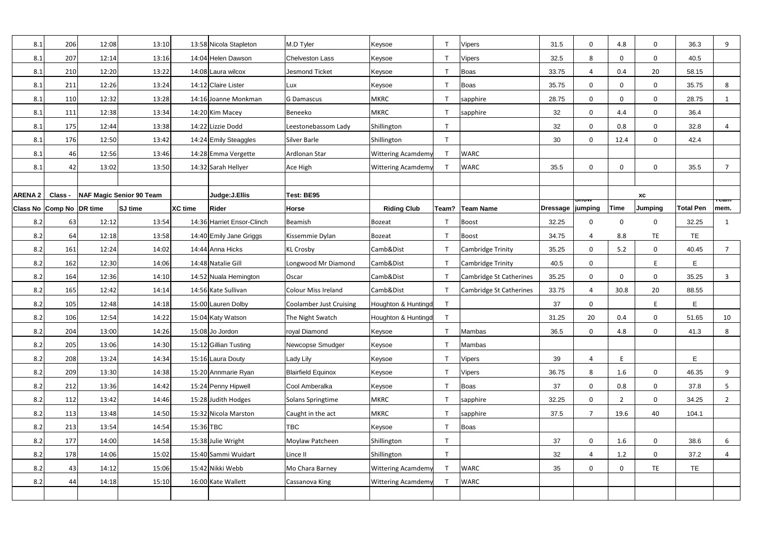| 8.1                      | 206     | 12:08 | 13:10                    |                | 13:58 Nicola Stapleton     | M.D Tyler                      | Keysoe                    |       | <b>Vipers</b>                  | 31.5     | 0                          | 4.8            | 0                          | 36.3             | 9              |
|--------------------------|---------|-------|--------------------------|----------------|----------------------------|--------------------------------|---------------------------|-------|--------------------------------|----------|----------------------------|----------------|----------------------------|------------------|----------------|
| 8.1                      | 207     | 12:14 | 13:16                    |                | 14:04 Helen Dawson         | <b>Chelveston Lass</b>         | Keysoe                    |       | Vipers                         | 32.5     | 8                          | $\mathbf 0$    | $\mathbf 0$                | 40.5             |                |
| 8.1                      | 210     | 12:20 | 13:22                    |                | 14:08 Laura wilcox         | <b>Jesmond Ticket</b>          | Keysoe                    |       | <b>Boas</b>                    | 33.75    | Δ                          | 0.4            | 20                         | 58.15            |                |
| 8.1                      | 211     | 12:26 | 13:24                    |                | 14:12 Claire Lister        | Lux                            | Keysoe                    |       | <b>Boas</b>                    | 35.75    | 0                          | $\mathbf 0$    | $\mathsf{O}$               | 35.75            | 8              |
| 8.1                      | 110     | 12:32 | 13:28                    |                | 14:16 Joanne Monkman       | <b>G Damascus</b>              | <b>MKRC</b>               |       | sapphire                       | 28.75    | $\mathbf 0$                | $\mathbf 0$    | $\mathbf 0$                | 28.75            | $\mathbf{1}$   |
| 8.1                      | 111     | 12:38 | 13:34                    |                | 14:20 Kim Macey            | Beneeko                        | <b>MKRC</b>               |       | sapphire                       | 32       | $\mathbf 0$                | 4.4            | $\mathbf 0$                | 36.4             |                |
| 8.1                      | 175     | 12:44 | 13:38                    |                | 14:22 Lizzie Dodd          | Leestonebassom Lady            | Shillington               |       |                                | 32       | 0                          | 0.8            | 0                          | 32.8             | 4              |
| 8.1                      | 176     | 12:50 | 13:42                    |                | 14:24 Emily Steaggles      | Silver Barle                   | Shillington               |       |                                | 30       | $\Omega$                   | 12.4           | $\mathbf 0$                | 42.4             |                |
| 8.1                      | 46      | 12:56 | 13:46                    |                | 14:28 Emma Vergette        | Ardlonan Star                  | <b>Wittering Acamdemy</b> |       | <b>WARC</b>                    |          |                            |                |                            |                  |                |
| 8.1                      | 42      | 13:02 | 13:50                    |                | 14:32 Sarah Hellyer        | Ace High                       | <b>Wittering Acamdemy</b> |       | <b>WARC</b>                    | 35.5     | $\Omega$                   | $\mathbf 0$    | $\mathbf 0$                | 35.5             | $\overline{7}$ |
|                          |         |       |                          |                |                            |                                |                           |       |                                |          |                            |                |                            |                  |                |
| <b>ARENA 2</b>           | Class - |       | NAF Magic Senior 90 Team |                | Judge:J.Ellis              | Test: BE95                     |                           |       |                                |          |                            |                | $\boldsymbol{\mathsf{XC}}$ |                  |                |
| Class No Comp No DR time |         |       | <b>SJ</b> time           | <b>XC</b> time | Rider                      | <b>Horse</b>                   | <b>Riding Club</b>        | Team? | <b>Team Name</b>               | Dressage | ਗ਼তিক<br>jumping           | <b>Time</b>    | <b>Jumping</b>             | <b>Total Pen</b> | теаш<br>mem.   |
| 8.2                      | 63      | 12:12 | 13:54                    |                | 14:36 Harriet Ensor-Clinch | Beamish                        | Bozeat                    |       | <b>Boost</b>                   | 32.25    | $\Omega$                   | $\mathbf 0$    | 0                          | 32.25            | 1              |
| 8.2                      | 64      | 12:18 | 13:58                    |                | 14:40 Emily Jane Griggs    | Kissemmie Dylan                | Bozeat                    |       | <b>Boost</b>                   | 34.75    |                            | 8.8            | <b>TE</b>                  | <b>TE</b>        |                |
| 8.2                      | 161     | 12:24 | 14:02                    |                | 14:44 Anna Hicks           | <b>KL Crosby</b>               | Camb&Dist                 |       | Cambridge Trinity              | 35.25    | $\Omega$                   | 5.2            | $\mathbf 0$                | 40.45            | $\overline{7}$ |
| 8.2                      | 162     | 12:30 | 14:06                    |                | 14:48 Natalie Gill         | Longwood Mr Diamond            | Camb&Dist                 |       | Cambridge Trinity              | 40.5     | 0                          |                | E                          | E                |                |
| 8.2                      | 164     | 12:36 | 14:10                    |                | 14:52 Nuala Hemington      | Oscar                          | Camb&Dist                 |       | <b>Cambridge St Catherines</b> | 35.25    | $\mathbf 0$                | $\mathbf 0$    | $\mathbf 0$                | 35.25            | 3              |
| 8.2                      | 165     | 12:42 | 14:14                    |                | 14:56 Kate Sullivan        | <b>Colour Miss Ireland</b>     | Camb&Dist                 |       | Cambridge St Catherines        | 33.75    | $\Delta$                   | 30.8           | 20                         | 88.55            |                |
| 8.2                      | 105     | 12:48 | 14:18                    |                | 15:00 Lauren Dolby         | <b>Coolamber Just Cruising</b> | Houghton & Huntingd       |       |                                | 37       | 0                          |                | E                          | E                |                |
| 8.2                      | 106     | 12:54 | 14:22                    |                | 15:04 Katy Watson          | The Night Swatch               | Houghton & Huntingd       |       |                                | 31.25    | 20                         | 0.4            | 0                          | 51.65            | 10             |
| 8.2                      | 204     | 13:00 | 14:26                    |                | 15:08 Jo Jordon            | royal Diamond                  | Keysoe                    |       | Mambas                         | 36.5     | 0                          | 4.8            | $\mathsf{O}\xspace$        | 41.3             | 8              |
| 8.2                      | 205     | 13:06 | 14:30                    |                | 15:12 Gillian Tusting      | Newcopse Smudger               | Keysoe                    |       | Mambas                         |          |                            |                |                            |                  |                |
| 8.2                      | 208     | 13:24 | 14:34                    |                | 15:16 Laura Douty          | Lady Lily                      | Keysoe                    |       | <b>Vipers</b>                  | 39       | 4                          | E              |                            | E                |                |
| 8.2                      | 209     | 13:30 | 14:38                    |                | 15:20 Annmarie Ryan        | <b>Blairfield Equinox</b>      | Keysoe                    |       | <b>Vipers</b>                  | 36.75    | 8                          | 1.6            | $\mathbf 0$                | 46.35            | 9              |
| 8.2                      | 212     | 13:36 | 14:42                    |                | 15:24 Penny Hipwell        | Cool Amberalka                 | Keysoe                    |       | Boas                           | 37       | $\mathbf 0$                | 0.8            | 0                          | 37.8             | 5              |
| 8.2                      | 112     | 13:42 | 14:46                    |                | 15:28 Judith Hodges        | Solans Springtime              | <b>MKRC</b>               |       | sapphire                       | 32.25    | $\mathbf 0$                | $\overline{2}$ | $\mathsf{O}$               | 34.25            | $2^{\circ}$    |
| 8.2                      | 113     | 13:48 | 14:50                    |                | 15:32 Nicola Marston       | Caught in the act              | <b>MKRC</b>               |       | sapphire                       | 37.5     | $\overline{7}$             | 19.6           | 40                         | 104.1            |                |
| 8.2                      | 213     | 13:54 | 14:54                    | 15:36 TBC      |                            | TBC                            | Keysoe                    |       | Boas                           |          |                            |                |                            |                  |                |
| 8.2                      | 177     | 14:00 | 14:58                    |                | 15:38 Julie Wright         | Moylaw Patcheen                | Shillington               |       |                                | 37       | $\mathbf 0$                | 1.6            | $\mathsf{O}$               | 38.6             | 6              |
| 8.2                      | 178     | 14:06 | 15:02                    |                | 15:40 Sammi Wuidart        | Lince II                       | Shillington               | T     |                                | 32       | $\boldsymbol{\mathcal{A}}$ | 1.2            | $\mathbf 0$                | 37.2             | 4              |
| 8.2                      | 43      | 14:12 | 15:06                    |                | 15:42 Nikki Webb           | Mo Chara Barney                | <b>Wittering Acamdemy</b> |       | <b>WARC</b>                    | 35       | $\mathbf 0$                | $\mathbf 0$    | <b>TE</b>                  | <b>TE</b>        |                |
| 8.2                      | 44      | 14:18 | 15:10                    |                | 16:00 Kate Wallett         | Cassanova King                 | <b>Wittering Acamdemy</b> |       | <b>WARC</b>                    |          |                            |                |                            |                  |                |
|                          |         |       |                          |                |                            |                                |                           |       |                                |          |                            |                |                            |                  |                |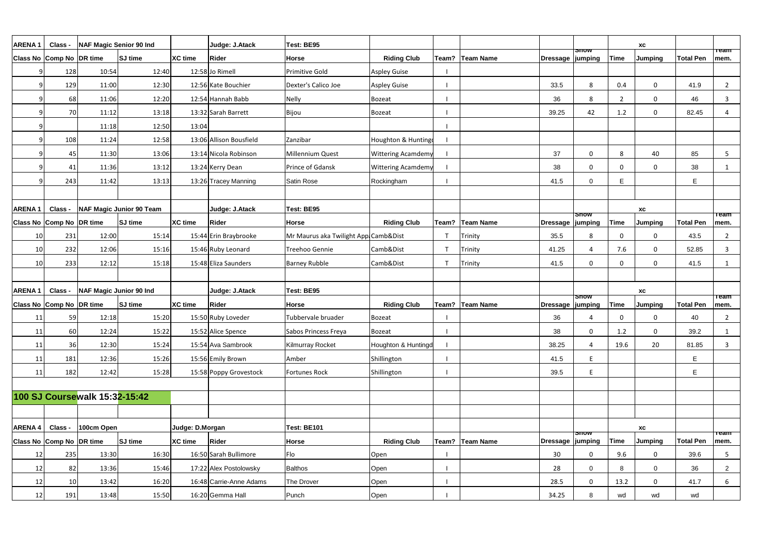| <b>ARENA1</b>       | Class -                  | NAF Magic Senior 90 Ind       |                          |                 | Judge: J.Atack          | Test: BE95                           |                           |                   |                    |                            |                | XC                         |                  | <b>Team</b>          |
|---------------------|--------------------------|-------------------------------|--------------------------|-----------------|-------------------------|--------------------------------------|---------------------------|-------------------|--------------------|----------------------------|----------------|----------------------------|------------------|----------------------|
|                     | Class No Comp No DR time |                               | SJ time                  | <b>XC time</b>  | <b>Rider</b>            | <b>Horse</b>                         | <b>Riding Club</b>        | Team? Team Name   | Dressage   jumping | <u>ənow</u>                | <b>Time</b>    | <b>Jumping</b>             | <b>Total Pen</b> | mem.                 |
|                     | 128                      | 10:54                         | 12:40                    |                 | 12:58 Jo Rimell         | <b>Primitive Gold</b>                | <b>Aspley Guise</b>       |                   |                    |                            |                |                            |                  |                      |
|                     | 129                      | 11:00                         | 12:30                    |                 | 12:56 Kate Bouchier     | Dexter's Calico Joe                  | <b>Aspley Guise</b>       |                   | 33.5               | 8                          | 0.4            | $\mathbf 0$                | 41.9             | $\overline{2}$       |
|                     | 68                       | 11:06                         | 12:20                    |                 | 12:54 Hannah Babb       | <b>Nelly</b>                         | Bozeat                    |                   | 36                 | 8                          | $\overline{2}$ | $\mathbf 0$                | 46               | 3                    |
|                     | 70                       | 11:12                         | 13:18                    |                 | 13:32 Sarah Barrett     | Bijou                                | Bozeat                    |                   | 39.25              | 42                         | 1.2            | 0                          | 82.45            | 4                    |
|                     |                          | 11:18                         | 12:50                    | 13:04           |                         |                                      |                           |                   |                    |                            |                |                            |                  |                      |
|                     | 108                      | 11:24                         | 12:58                    |                 | 13:06 Allison Bousfield | Zanzibar                             | Houghton & Hunting        |                   |                    |                            |                |                            |                  |                      |
|                     | 45                       | 11:30                         | 13:06                    |                 | 13:14 Nicola Robinson   | Millennium Quest                     | <b>Wittering Acamdemy</b> |                   | 37                 | 0                          | 8              | 40                         | 85               | 5                    |
|                     | 41                       | 11:36                         | 13:12                    |                 | 13:24 Kerry Dean        | Prince of Gdansk                     | <b>Wittering Acamdemy</b> |                   | 38                 | $\Omega$                   | $\Omega$       | 0                          | 38               | $\mathbf 1$          |
|                     | 243                      | 11:42                         | 13:13                    |                 | 13:26 Tracey Manning    | Satin Rose                           | Rockingham                |                   | 41.5               | $\Omega$                   | E              |                            | E                |                      |
|                     |                          |                               |                          |                 |                         |                                      |                           |                   |                    |                            |                |                            |                  |                      |
| <b>ARENA1</b>       | Class -                  |                               | NAF Magic Junior 90 Team |                 | Judge: J.Atack          | Test: BE95                           |                           |                   |                    |                            |                | XC                         |                  |                      |
|                     | Class No Comp No DR time |                               | SJ time                  | <b>XC time</b>  | <b>Rider</b>            | <b>Horse</b>                         | <b>Riding Club</b>        | Team?   Team Name | Dressage   jumping | onow                       | <b>Time</b>    | <b>Jumping</b>             | <b>Total Pen</b> | <u> Team</u><br>mem. |
| 10                  | 231                      | 12:00                         | 15:14                    |                 | 15:44 Erin Braybrooke   | Mr Maurus aka Twilight App Camb&Dist |                           | Trinity           | 35.5               | 8                          | $\mathbf{0}$   | $\mathbf 0$                | 43.5             | $\overline{2}$       |
| 10                  | 232                      | 12:06                         | 15:16                    |                 | 15:46 Ruby Leonard      | Treehoo Gennie                       | Camb&Dist                 | Trinity           | 41.25              |                            | 7.6            | $\mathbf 0$                | 52.85            | 3                    |
| 10                  | 233                      | 12:12                         | 15:18                    |                 | 15:48 Eliza Saunders    | <b>Barney Rubble</b>                 | Camb&Dist                 | Trinity           | 41.5               | 0                          | $\mathbf{0}$   | $\mathbf 0$                | 41.5             | -1                   |
|                     |                          |                               |                          |                 |                         |                                      |                           |                   |                    |                            |                |                            |                  |                      |
| <b>ARENA1</b>       | Class -                  | NAF Magic Junior 90 Ind       |                          |                 | Judge: J.Atack          | Test: BE95                           |                           |                   |                    |                            |                | XC                         |                  |                      |
|                     | Class No Comp No DR time |                               | SJ time                  | <b>XC time</b>  | <b>Rider</b>            | <b>Horse</b>                         | <b>Riding Club</b>        | Team? Team Name   | Dressage   jumping | <b>Snow</b>                | <b>Time</b>    | <b>Jumping</b>             | <b>Total Pen</b> | ⊤eam<br>mem.         |
| 11                  | 59                       | 12:18                         | 15:20                    |                 | 15:50 Ruby Loveder      | Tubbervale bruader                   | Bozeat                    |                   | 36                 |                            | $\Omega$       | 0                          | 40               | 2                    |
| 11                  | 60                       | 12:24                         | 15:22                    |                 | 15:52 Alice Spence      | Sabos Princess Freya                 | Bozeat                    |                   | 38                 | 0                          | 1.2            | 0                          | 39.2             |                      |
| 11                  | 36                       | 12:30                         | 15:24                    |                 | 15:54 Ava Sambrook      | <b>Kilmurray Rocket</b>              | Houghton & Huntingd       |                   | 38.25              | $\boldsymbol{\mathcal{A}}$ | 19.6           | 20                         | 81.85            | $\overline{3}$       |
| 11                  | 181                      | 12:36                         | 15:26                    |                 | 15:56 Emily Brown       | Amber                                | Shillington               |                   | 41.5               | E                          |                |                            | E                |                      |
| 11                  | 182                      | 12:42                         | 15:28                    |                 | 15:58 Poppy Grovestock  | Fortunes Rock                        | Shillington               |                   | 39.5               | F                          |                |                            | E                |                      |
|                     |                          |                               |                          |                 |                         |                                      |                           |                   |                    |                            |                |                            |                  |                      |
|                     |                          | 100 SJ Coursewalk 15:32-15:42 |                          |                 |                         |                                      |                           |                   |                    |                            |                |                            |                  |                      |
|                     |                          |                               |                          |                 |                         |                                      |                           |                   |                    |                            |                |                            |                  |                      |
| $ARENA 4   Class -$ |                          | 100cm Open                    |                          | Judge: D.Morgan |                         | Test: BE101                          |                           |                   |                    |                            |                | $\boldsymbol{\mathsf{xc}}$ |                  |                      |
|                     | Class No Comp No DR time |                               | <b>SJ</b> time           | <b>XC time</b>  | <b>Rider</b>            | <b>Horse</b>                         | <b>Riding Club</b>        | Team?   Team Name | Dressage   jumping | <b>Snow</b>                | <b>Time</b>    | <b>Jumping</b>             | <b>Total Pen</b> | <b>Team</b><br>mem.  |
| 12                  | 235                      | 13:30                         | 16:30                    |                 | 16:50 Sarah Bullimore   | Flo                                  | Open                      |                   | 30 <sup>°</sup>    | 0                          | 9.6            | $\mathbf 0$                | 39.6             | 5                    |
| 12                  | 82                       | 13:36                         | 15:46                    |                 | 17:22 Alex Postolowsky  | <b>Balthos</b>                       | Open                      |                   | 28                 | $\Omega$                   | 8              | $\overline{0}$             | 36               | $\overline{2}$       |
| 12                  | 10                       | 13:42                         | 16:20                    |                 | 16:48 Carrie-Anne Adams | The Drover                           | Open                      |                   | 28.5               | $\Omega$                   | 13.2           | $\mathbf 0$                | 41.7             | 6                    |
| 12                  | 191                      | 13:48                         | 15:50                    |                 | 16:20 Gemma Hall        | Punch                                | Open                      |                   | 34.25              | 8                          | wd             | wd                         | wd               |                      |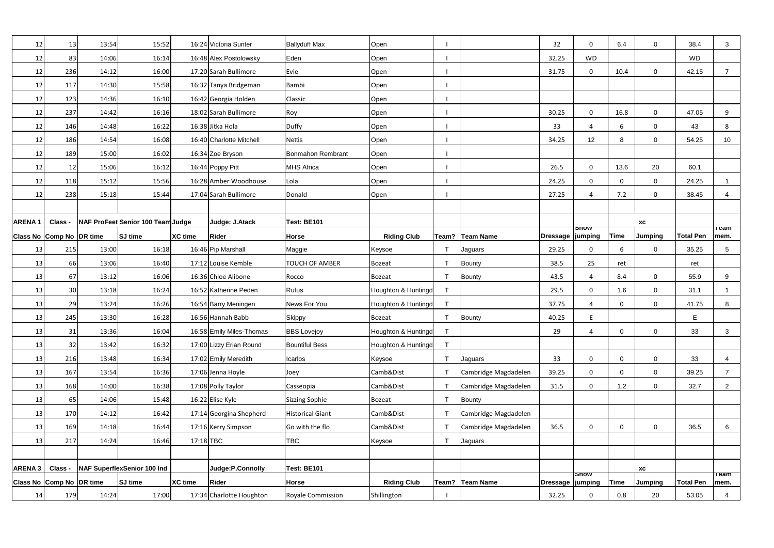| 12            | 13                       | 13:54 | 15:52                             |                | 16:24 Victoria Sunter    | <b>Ballyduff Max</b>     | Open                |                |                      | 32 <sup>2</sup>    | $\Omega$       | 6.4            | $\mathbf 0$    | 38.4             | $\mathbf{3}$        |
|---------------|--------------------------|-------|-----------------------------------|----------------|--------------------------|--------------------------|---------------------|----------------|----------------------|--------------------|----------------|----------------|----------------|------------------|---------------------|
| 12            | 83                       | 14:06 | 16:14                             |                | 16:48 Alex Postolowsky   | Eden                     | Open                |                |                      | 32.25              | <b>WD</b>      |                |                | <b>WD</b>        |                     |
| 12            | 236                      | 14:12 | 16:00                             |                | 17:20 Sarah Bullimore    | Evie                     | Open                |                |                      | 31.75              | $\Omega$       | 10.4           | 0              | 42.15            |                     |
| 12            | 117                      | 14:30 | 15:58                             |                | 16:32 Tanya Bridgeman    | <b>Bambi</b>             | Open                |                |                      |                    |                |                |                |                  |                     |
| 12            | 123                      | 14:36 | 16:10                             |                | 16:42 Georgia Holden     | Classic                  | Open                |                |                      |                    |                |                |                |                  |                     |
| 12            | 237                      | 14:42 | 16:16                             |                | 18:02 Sarah Bullimore    | Roy                      | Open                |                |                      | 30.25              | 0              | 16.8           | $\mathbf 0$    | 47.05            | 9                   |
| 12            | 146                      | 14:48 | 16:22                             |                | 16:38 Jitka Hola         | Duffy                    | Open                |                |                      | 33                 | 4              | 6              | $\mathbf 0$    | 43               | 8                   |
| 12            | 186                      | 14:54 | 16:08                             |                | 16:40 Charlotte Mitchell | <b>Nettis</b>            | Open                |                |                      | 34.25              | 12             | -8             | $\mathbf 0$    | 54.25            | 10                  |
| 12            | 189                      | 15:00 | 16:02                             |                | 16:34 Zoe Bryson         | <b>Bonmahon Rembrant</b> | Open                |                |                      |                    |                |                |                |                  |                     |
| 12            | 12                       | 15:06 | 16:12                             |                | 16:44 Poppy Pitt         | <b>MHS Africa</b>        | Open                |                |                      | 26.5               | $\Omega$       | 13.6           | 20             | 60.1             |                     |
| 12            | 118                      | 15:12 | 15:56                             |                | 16:28 Amber Woodhouse    | Lola                     | Open                |                |                      | 24.25              | $\Omega$       | $\Omega$       | $\overline{0}$ | 24.25            |                     |
| 12            | 238                      | 15:18 | 15:44                             |                | 17:04 Sarah Bullimore    | Donald                   | Open                |                |                      | 27.25              | 4              | 7.2            | $\mathbf 0$    | 38.45            | 4                   |
|               |                          |       |                                   |                |                          |                          |                     |                |                      |                    |                |                |                |                  |                     |
| <b>ARENA1</b> | Class -                  |       | NAF ProFeet Senior 100 Team Judge |                | Judge: J.Atack           | <b>Test: BE101</b>       |                     |                |                      |                    |                |                | XC             |                  |                     |
|               | Class No Comp No DR time |       | <b>SJ</b> time                    | <b>XC</b> time | <b>Rider</b>             | <b>Horse</b>             | <b>Riding Club</b>  |                | Team? Team Name      | Dressage   jumping | snow           | <b>Time</b>    | <b>Jumping</b> | <b>Total Pen</b> | <u>neam</u><br>mem. |
| 13            | 215                      | 13:00 | 16:18                             |                | 16:46 Pip Marshall       | Maggie                   | Keysoe              | $\mathbf{T}$   | Jaguars              | 29.25              | $\Omega$       | 6              | $\mathbf 0$    | 35.25            | 5 <sup>5</sup>      |
| 13            | 66                       | 13:06 | 16:40                             |                | 17:12 Louise Kemble      | <b>TOUCH OF AMBER</b>    | Bozeat              | ਾ              | <b>Bounty</b>        | 38.5               | 25             | ret            |                | ret              |                     |
| 13            | 67                       | 13:12 | 16:06                             |                | 16:36 Chloe Alibone      | Rocco                    | Bozeat              | $\mathsf{T}$   | <b>Bounty</b>        | 43.5               | $\overline{a}$ | 8.4            | $\mathbf 0$    | 55.9             | 9                   |
| 13            | 30 <sup>1</sup>          | 13:18 | 16:24                             |                | 16:52 Katherine Peden    | <b>Rufus</b>             | Houghton & Huntingd | $\mathsf{T}$   |                      | 29.5               | $\Omega$       | 1.6            | $\overline{0}$ | 31.1             | $\mathbf{1}$        |
| 13            | 29                       | 13:24 | 16:26                             |                | 16:54 Barry Meningen     | News For You             | Houghton & Huntingd | T              |                      | 37.75              |                | $\overline{0}$ | $\mathbf 0$    | 41.75            | 8                   |
| 13            | 245                      | 13:30 | 16:28                             |                | 16:56 Hannah Babb        | <b>Skippy</b>            | Bozeat              |                | <b>Bounty</b>        | 40.25              | E              |                |                | E                |                     |
| 13            | 31                       | 13:36 | 16:04                             |                | 16:58 Emily Miles-Thomas | <b>BBS Lovejoy</b>       | Houghton & Huntingd | T              |                      | 29                 | 4              | $\mathbf 0$    | $\mathbf 0$    | 33               | 3                   |
| 13            | 32                       | 13:42 | 16:32                             |                | 17:00 Lizzy Erian Round  | <b>Bountiful Bess</b>    | Houghton & Huntingd | $\mathsf{T}$   |                      |                    |                |                |                |                  |                     |
| 13            | 216                      | 13:48 | 16:34                             |                | 17:02 Emily Meredith     | Icarlos                  | Keysoe              | $\mathsf{T}$   | Jaguars              | 33                 | 0              | $\mathbf 0$    | $\mathbf 0$    | 33               | 4                   |
| 13            | 167                      | 13:54 | 16:36                             |                | 17:06 Jenna Hoyle        | Joey                     | Camb&Dist           |                | Cambridge Magdadelen | 39.25              | $\Omega$       | $\overline{0}$ | $\mathbf 0$    | 39.25            | $\overline{7}$      |
| 13            | 168                      | 14:00 | 16:38                             |                | 17:08 Polly Taylor       | Casseopia                | Camb&Dist           | $\mathbf \tau$ | Cambridge Magdadelen | 31.5               | 0              | 1.2            | $\mathbf 0$    | 32.7             | $\overline{2}$      |
| 13            | 65                       | 14:06 | 15:48                             |                | 16:22 Elise Kyle         | <b>Sizzing Sophie</b>    | Bozeat              |                | <b>Bounty</b>        |                    |                |                |                |                  |                     |
| 13            | 170                      | 14:12 | 16:42                             |                | 17:14 Georgina Shepherd  | <b>Historical Giant</b>  | Camb&Dist           |                | Cambridge Magdadelen |                    |                |                |                |                  |                     |
| 13            | 169                      | 14:18 | 16:44                             |                | 17:16 Kerry Simpson      | Go with the flo          | Camb&Dist           |                | Cambridge Magdadelen | 36.5               | 0              | $\mathbf 0$    | $\mathbf 0$    | 36.5             | $6\overline{6}$     |
| 13            | 217                      | 14:24 | 16:46                             | 17:18 TBC      |                          | <b>TBC</b>               | Keysoe              | $\mathbf{T}$   | Jaguars              |                    |                |                |                |                  |                     |
|               |                          |       |                                   |                |                          |                          |                     |                |                      |                    |                |                |                |                  |                     |
| ARENA 3       | Class -                  |       | NAF SuperflexSenior 100 Ind       |                | Judge:P.Connolly         | <b>Test: BE101</b>       |                     |                |                      |                    |                |                | <b>XC</b>      |                  |                     |
|               | Class No Comp No DR time |       | <b>SJ</b> time                    | XC time        | <b>Rider</b>             | Horse                    | <b>Riding Club</b>  |                | Team?   Team Name    | Dressage   jumping | <u>তাাতক</u>   | <b>Time</b>    | Jumping        | <b>Total Pen</b> | ⊤eam<br>mem.        |
| 14            | 179                      | 14:24 | 17:00                             |                | 17:34 Charlotte Houghton | Royale Commission        | Shillington         |                |                      | 32.25              | 0              | 0.8            | 20             | 53.05            | 4                   |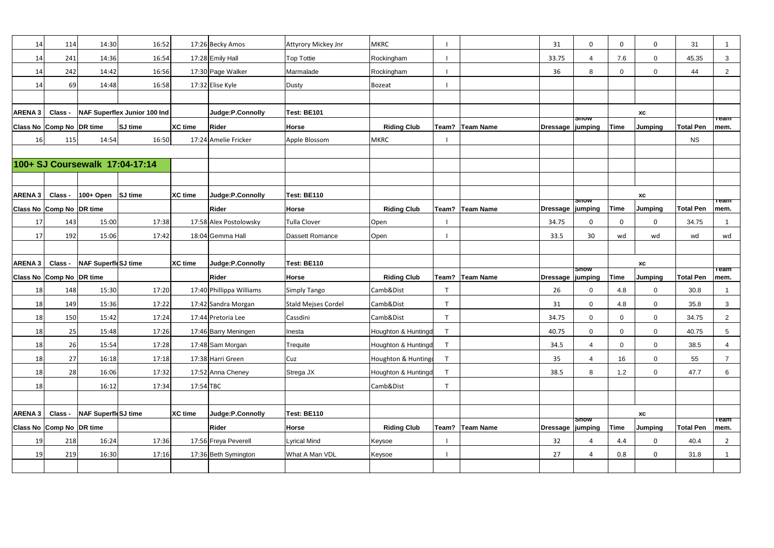| 14                | 114                      | 14:30                | 16:52                          |                | 17:26 Becky Amos         | <b>Attyrory Mickey Jnr</b> | MKRC                |              |                   | 31                 | $\Omega$         | $\mathbf{0}$ | $\mathbf 0$      | 31               | -1                                    |
|-------------------|--------------------------|----------------------|--------------------------------|----------------|--------------------------|----------------------------|---------------------|--------------|-------------------|--------------------|------------------|--------------|------------------|------------------|---------------------------------------|
| 14                | 241                      | 14:36                | 16:54                          |                | 17:28 Emily Hall         | Top Tottie                 | Rockingham          |              |                   | 33.75              | 4                | 7.6          | $\mathbf 0$      | 45.35            | $\mathbf{3}$                          |
| 14                | 242                      | 14:42                | 16:56                          |                | 17:30 Page Walker        | Marmalade                  | Rockingham          |              |                   | 36                 | 8                | $\Omega$     | $\overline{0}$   | 44               | $\overline{2}$                        |
| 14                | 69                       | 14:48                | 16:58                          |                | 17:32 Elise Kyle         | <b>Dusty</b>               | Bozeat              |              |                   |                    |                  |              |                  |                  |                                       |
|                   |                          |                      |                                |                |                          |                            |                     |              |                   |                    |                  |              |                  |                  |                                       |
| <b>ARENA 3</b>    | Class -                  |                      | NAF Superflex Junior 100 Ind   |                | Judge:P.Connolly         | Test: BE101                |                     |              |                   |                    |                  |              | ХC               |                  |                                       |
|                   | Class No Comp No DR time |                      | SJ time                        | <b>XC time</b> | <b>Rider</b>             | <b>Horse</b>               | <b>Riding Club</b>  |              | Team? Team Name   | Dressage   jumping | <del>ວ</del> ກວw | Time         | <b>Jumping</b>   | <b>Total Pen</b> | †⊤eam<br>mem.                         |
| 16                | 115                      | 14:54                | 16:50                          |                | 17:24 Amelie Fricker     | Apple Blossom              | MKRC                |              |                   |                    |                  |              |                  | <b>NS</b>        |                                       |
|                   |                          |                      |                                |                |                          |                            |                     |              |                   |                    |                  |              |                  |                  |                                       |
|                   |                          |                      | 100+ SJ Coursewalk 17:04-17:14 |                |                          |                            |                     |              |                   |                    |                  |              |                  |                  |                                       |
|                   |                          |                      |                                |                |                          |                            |                     |              |                   |                    |                  |              |                  |                  |                                       |
| ARENA 3           | Class -                  | $100+$ Open SJ time  |                                | <b>XC</b> time | Judge:P.Connolly         | Test: BE110                |                     |              |                   |                    |                  |              | XC               |                  |                                       |
|                   | Class No Comp No DR time |                      |                                |                | <b>Rider</b>             | Horse                      | <b>Riding Club</b>  |              | Team?   Team Name | Dressage   jumping | <b>Snow</b>      | <b>Time</b>  | <b>Jumping</b>   | <b>Total Pen</b> | <b>Team</b><br>mem.                   |
| 17                | 143                      | 15:00                | 17:38                          |                | 17:58 Alex Postolowsky   | Tulla Clover               | Open                |              |                   | 34.75              | 0                | $\mathbf 0$  | 0                | 34.75            | $\mathbf 1$                           |
| 17                | 192                      | 15:06                | 17:42                          |                | 18:04 Gemma Hall         | Dassett Romance            | Open                |              |                   | 33.5               | 30               | wd           | wd               | wd               | wd                                    |
|                   |                          |                      |                                |                |                          |                            |                     |              |                   |                    |                  |              |                  |                  |                                       |
|                   |                          |                      |                                |                |                          |                            |                     |              |                   |                    |                  |              |                  |                  |                                       |
| <b>ARENA 3</b>    | Class -                  | NAF SuperfieSJ time  |                                | <b>XC time</b> | Judge:P.Connolly         | Test: BE110                |                     |              |                   |                    |                  |              | XC               |                  |                                       |
|                   | Class No Comp No DR time |                      |                                |                | <b>Rider</b>             | <b>Horse</b>               | <b>Riding Club</b>  |              | Team?   Team Name | Dressage   jumping | <b>Snow</b>      | <b>Time</b>  | <b>Jumping</b>   | <b>Total Pen</b> | <u>neam</u><br>mem.                   |
| 18                | 148                      | 15:30                | 17:20                          |                | 17:40 Phillippa Williams | <b>Simply Tango</b>        | Camb&Dist           |              |                   | 26                 | $\Omega$         | 4.8          | $\mathbf 0$      | 30.8             |                                       |
| 18                | 149                      | 15:36                | 17:22                          |                | 17:42 Sandra Morgan      | <b>Stald Mejses Cordel</b> | Camb&Dist           |              |                   | 31                 | $\Omega$         | 4.8          | $\overline{0}$   | 35.8             | 3                                     |
| 18                | 150                      | 15:42                | 17:24                          |                | 17:44 Pretoria Lee       | Cassdini                   | Camb&Dist           |              |                   | 34.75              | 0                | $\Omega$     | $\mathbf 0$      | 34.75            | $\overline{2}$                        |
| 18                | 25                       | 15:48                | 17:26                          |                | 17:46 Barry Meningen     | Inesta                     | Houghton & Huntingd |              |                   | 40.75              | 0                | 0            | $\boldsymbol{0}$ | 40.75            | $5\phantom{.0}$                       |
| 18                | 26                       | 15:54                | 17:28                          |                | 17:48 Sam Morgan         | Trequite                   | Houghton & Huntingd |              |                   | 34.5               | $\overline{4}$   | $\Omega$     | $\overline{0}$   | 38.5             | 4                                     |
| 18                | 27                       | 16:18                | 17:18                          |                | 17:38 Harri Green        | Cuz                        | Houghton & Hunting  | $\mathbf{T}$ |                   | 35                 | $\overline{A}$   | 16           | $\mathbf 0$      | 55               | $\overline{7}$                        |
| 18                | 28                       | 16:06                | 17:32                          |                | 17:52 Anna Cheney        | Strega JX                  | Houghton & Huntingd |              |                   | 38.5               | 8                | 1.2          | $\overline{0}$   | 47.7             | 6                                     |
| 18                |                          | 16:12                | 17:34                          | 17:54 TBC      |                          |                            | Camb&Dist           | $\mathbf{T}$ |                   |                    |                  |              |                  |                  |                                       |
|                   |                          |                      |                                |                |                          |                            |                     |              |                   |                    |                  |              |                  |                  |                                       |
| ARENA 3   Class - |                          | NAF Superfic SJ time |                                | <b>XC</b> time | Judge:P.Connolly         | Test: BE110                |                     |              |                   |                    |                  |              | XC               |                  |                                       |
|                   | Class No Comp No DR time |                      |                                |                | Rider                    | <b>Horse</b>               | <b>Riding Club</b>  |              | Team?   Team Name | Dressage   jumping | <b>Snow</b>      | <b>Time</b>  | Jumping          | <b>Total Pen</b> | $\overline{\phantom{a}}$ Team<br>mem. |
| 19                | 218                      | 16:24                | 17:36                          |                | 17:56 Freya Peverell     | <b>Lyrical Mind</b>        | Keysoe              |              |                   | 32                 |                  | 4.4          | $\mathbf 0$      | 40.4             | $\overline{2}$                        |
| 19                | 219                      | 16:30                | 17:16                          |                | 17:36 Beth Symington     | What A Man VDL             | Keysoe              |              |                   | 27                 | Δ                | 0.8          | $\mathbf 0$      | 31.8             | $\mathbf{1}$                          |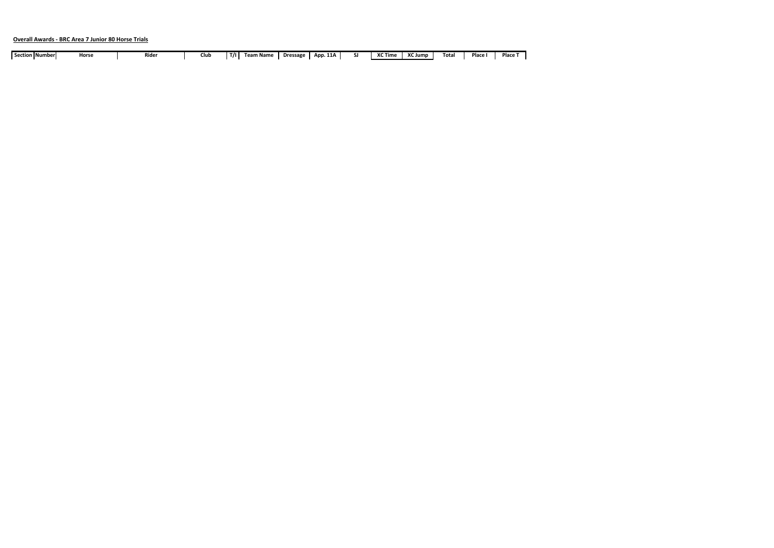# **Overall Awards - BRC Area 7 Junior 80 Horse Trials**

| Section   Numberl | Horse | Rider | Club | T/I | <b>Team Name</b> | <b>Dressage</b> | App. 11A | <sup>v</sup> C Time | $\overline{\phantom{a}}$<br>് Jump | Tota. | Place | Place |
|-------------------|-------|-------|------|-----|------------------|-----------------|----------|---------------------|------------------------------------|-------|-------|-------|
|                   |       |       |      |     |                  |                 |          |                     |                                    |       |       |       |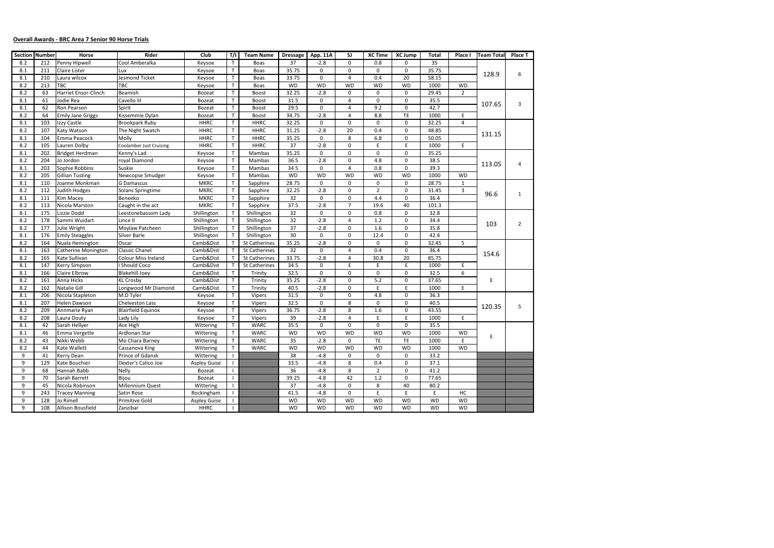# **Overall Awards - BRC Area 7 Senior 90 Horse Trials**

| <b>Section Number</b> |     | Horse                      | Rider                          | Club                | T/I          | <b>Team Name</b>     | <b>Dressage</b> | App. 11A    | SJ.            | <b>XC Time</b> | <b>XC Jump</b> | Total     | Place I        | <b>Team Total</b> | Place T        |
|-----------------------|-----|----------------------------|--------------------------------|---------------------|--------------|----------------------|-----------------|-------------|----------------|----------------|----------------|-----------|----------------|-------------------|----------------|
| 8.2                   | 212 | Penny Hipwell              | Cool Amberalka                 | Keysoe              | $\mathsf{T}$ | Boas                 | 37              | $-2.8$      | 0              | 0.8            | 0              | 35        |                |                   |                |
| 8.1                   | 211 | <b>Claire Lister</b>       | Lux                            | Keysoe              | $\mathsf{T}$ | Boas                 | 35.75           | $\mathbf 0$ | 0              | 0              | $\mathbf 0$    | 35.75     |                |                   |                |
| 8.1                   | 210 | Laura wilcox               | Jesmond Ticket                 | Keysoe              | $\mathsf{T}$ | Boas                 | 33.75           | 0           | 4              | 0.4            | 20             | 58.15     |                | 128.9             | 6              |
| 8.2                   | 213 | TBC                        | <b>TBC</b>                     | Keysoe              | $\mathsf{T}$ | Boas                 | <b>WD</b>       | <b>WD</b>   | <b>WD</b>      | <b>WD</b>      | <b>WD</b>      | 1000      | <b>WD</b>      |                   |                |
| 8.2                   | 63  | Harriet Ensor-Clinch       | Beamish                        | <b>Bozeat</b>       | $\mathsf{T}$ | <b>Boost</b>         | 32.25           | $-2.8$      | $\mathbf 0$    | $\mathbf 0$    | $\mathbf 0$    | 29.45     | $\overline{2}$ |                   |                |
| 8.1                   | 61  | Jodie Rea                  | Cavello III                    | <b>Bozeat</b>       | $\mathsf{T}$ | <b>Boost</b>         | 31.5            | 0           | 4              | 0              | 0              | 35.5      |                |                   |                |
| 8.1                   | 62  | Ron Pearson                | Spirit                         | <b>Bozeat</b>       | $\mathsf{T}$ | <b>Boost</b>         | 29.5            | 0           | 4              | 9.2            | 0              | 42.7      |                | 107.65            | 3              |
| 8.2                   | 64  | <b>Emily Jane Griggs</b>   | Kissemmie Dylan                | <b>Bozeat</b>       | T            | <b>Boost</b>         | 34.75           | $-2.8$      | 4              | 8.8            | TE             | 1000      | E              |                   |                |
| 8.1                   | 103 | Izzy Castle                | Brookpark Ruby                 | <b>HHRC</b>         | $\mathsf{T}$ | <b>HHRC</b>          | 32.25           | 0           | 0              | 0              | $\mathbf 0$    | 32.25     | $\overline{4}$ |                   |                |
| 8.2                   | 107 | Katy Watson                | The Night Swatch               | <b>HHRC</b>         | $\mathsf{T}$ | <b>HHRC</b>          | 31.25           | $-2.8$      | 20             | 0.4            | $\mathbf 0$    | 48.85     |                |                   |                |
| 8.1                   | 104 | Emma Peacock               | Molly                          | <b>HHRC</b>         | $\mathsf{T}$ | <b>HHRC</b>          | 35.25           | 0           | 8              | 6.8            | $\mathbf 0$    | 50.05     |                | 131.15            |                |
| 8.2                   | 105 | Lauren Dolby               | <b>Coolamber Just Cruising</b> | <b>HHRC</b>         | $\mathsf{T}$ | <b>HHRC</b>          | $\overline{37}$ | $-2.8$      | $\pmb{0}$      | $\mathsf E$    | E.             | 1000      | E              |                   |                |
| 8.1                   | 202 | <b>Bridget Herdman</b>     | Kenny's Lad                    | Keysoe              | T.           | Mambas               | 35.25           | 0           | 0              | 0              | $\mathbf 0$    | 35.25     |                |                   |                |
| 8.2                   | 204 | Jo Jordon                  | royal Diamond                  | Keysoe              | $\mathsf{T}$ | Mambas               | 36.5            | $-2.8$      | 0              | 4.8            | $\mathbf 0$    | 38.5      |                |                   |                |
| 8.1                   | 203 | Sophie Robbins             | Suskie                         | Keysoe              | $\mathsf{T}$ | Mambas               | 34.5            | $\mathbf 0$ | 4              | 0.8            | $\mathbf 0$    | 39.3      |                | 113.05            | 4              |
| 8.2                   | 205 | <b>Gillian Tusting</b>     | Newcopse Smudger               | Keysoe              | $\mathsf{T}$ | Mambas               | <b>WD</b>       | <b>WD</b>   | <b>WD</b>      | <b>WD</b>      | <b>WD</b>      | 1000      | WD             |                   |                |
| 8.1                   | 110 | Joanne Monkman             | <b>G Damascus</b>              | <b>MKRC</b>         | т            | Sapphire             | 28.75           | $\mathbf 0$ | 0              | $\mathbf 0$    | $\mathbf 0$    | 28.75     | $\mathbf{1}$   |                   |                |
| 8.2                   | 112 | Judith Hodges              | Solans Springtime              | <b>MKRC</b>         | $\mathsf{T}$ | Sapphire             | 32.25           | $-2.8$      | 0              | $\overline{2}$ | $\mathbf 0$    | 31.45     | 3              |                   |                |
| 8.1                   | 111 | Kim Macey                  | Beneeko                        | <b>MKRC</b>         | $\mathsf{T}$ | Sapphire             | 32              | 0           | 0              | 4.4            | $\mathbf 0$    | 36.4      |                | 96.6              | 1              |
| 8.2                   | 113 | Nicola Marston             | Caught in the act              | <b>MKRC</b>         | T.           | Sapphire             | 37.5            | $-2.8$      | $\overline{7}$ | 19.6           | 40             | 101.3     |                |                   |                |
| 8.1                   | 175 | Lizzie Dodd                | Leestonebassom Lady            | Shillington         | Т            | Shillington          | 32              | 0           | 0              | 0.8            | $\mathbf 0$    | 32.8      |                |                   |                |
| 8.2                   | 178 | Sammi Wuidart              | Lince II                       | Shillington         | $\mathsf{T}$ | Shillington          | 32              | $-2.8$      | 4              | 1.2            | $\mathbf 0$    | 34.4      |                |                   |                |
| 8.2                   | 177 | Julie Wright               | Moylaw Patcheen                | Shillington         |              | Shillington          | 37              | $-2.8$      | 0              | 1.6            | $\mathbf 0$    | 35.8      |                | 103               | $\overline{2}$ |
| 8.1                   | 176 | <b>Emily Steaggles</b>     | Silver Barle                   | Shillington         |              | Shillington          | 30              | $\mathbf 0$ | 0              | 12.4           | $\mathbf 0$    | 42.4      |                |                   |                |
| 8.2                   | 164 | Nuala Hemington            | Oscar                          | Camb&Dist           | $\mathsf{T}$ | St Catherines        | 35.25           | $-2.8$      | 0              | 0              | 0              | 32.45     | 5              |                   |                |
| 8.1                   | 163 | <b>Catherine Monington</b> | <b>Classic Chanel</b>          | Camb&Dist           | $\mathsf{T}$ | St Catherines        | 32              | 0           | 4              | 0.4            | $\mathbf 0$    | 36.4      |                |                   |                |
| 8.2                   | 165 | Kate Sullivan              | Colour Miss Ireland            | Camb&Dist           | T.           | <b>St Catherines</b> | 33.75           | $-2.8$      | 4              | 30.8           | 20             | 85.75     |                | 154.6             |                |
| 8.1                   | 147 | <b>Kerry Simpson</b>       | I Should Coco                  | Camb&Dist           | T.           | <b>St Catherines</b> | 34.5            | 0           | E              | E              | E              | 1000      | E              |                   |                |
| 8.1                   | 166 | Claire Elbrow              | <b>Blakehill Joey</b>          | Camb&Dist           | $\mathsf{T}$ | Trinity              | 32.5            | 0           | 0              | 0              | $\mathbf 0$    | 32.5      | 6              |                   |                |
| 8.2                   | 161 | Anna Hicks                 | <b>KL Crosby</b>               | Camb&Dist           | $\mathsf{T}$ | Trinity              | 35.25           | $-2.8$      | 0              | 5.2            | $\mathbf 0$    | 37.65     |                | Ε                 |                |
| 8.2                   | 162 | Natalie Gill               | Longwood Mr Diamond            | Camb&Dist           | $\mathsf{T}$ | Trinity              | 40.5            | $-2.8$      | $\mathbf 0$    | E              | E              | 1000      | E              |                   |                |
| 8.1                   | 206 | Nicola Stapleton           | M.D Tyler                      | Keysoe              | $\mathsf{T}$ | <b>Vipers</b>        | 31.5            | 0           | 0              | 4.8            | 0              | 36.3      |                |                   |                |
| 8.1                   | 207 | Helen Dawson               | <b>Chelveston Lass</b>         | Keysoe              | T            | <b>Vipers</b>        | 32.5            | $\mathbf 0$ | 8              | 0              | $\mathbf 0$    | 40.5      |                | 120.35            | 5              |
| 8.2                   | 209 | Annmarie Ryan              | <b>Blairfield Equinox</b>      | Keysoe              | $\mathsf{T}$ | <b>Vipers</b>        | 36.75           | $-2.8$      | 8              | $1.6\,$        | 0              | 43.55     |                |                   |                |
| 8.2                   | 208 | Laura Douty                | Lady Lily                      | Keysoe              | $\mathsf{T}$ | <b>Vipers</b>        | 39              | $-2.8$      | 4              | E              | E              | 1000      | Ε              |                   |                |
| 8.1                   | 42  | Sarah Hellyer              | Ace High                       | Wittering           | T.           | <b>WARC</b>          | 35.5            | 0           | 0              | $\mathbf 0$    | $\mathbf 0$    | 35.5      |                |                   |                |
| 8.1                   | 46  | Emma Vergette              | Ardlonan Star                  | Wittering           | $\mathsf{T}$ | <b>WARC</b>          | <b>WD</b>       | <b>WD</b>   | <b>WD</b>      | <b>WD</b>      | <b>WD</b>      | 1000      | <b>WD</b>      | Ε                 |                |
| 8.2                   | 43  | Nikki Webb                 | Mo Chara Barney                | Wittering           | $\top$       | <b>WARC</b>          | 35              | $-2.8$      | 0              | TE             | TE             | 1000      | E              |                   |                |
| 8.2                   | 44  | Kate Wallett               | Cassanova King                 | Wittering           | $\mathsf{T}$ | <b>WARC</b>          | <b>WD</b>       | <b>WD</b>   | <b>WD</b>      | <b>WD</b>      | <b>WD</b>      | 1000      | <b>WD</b>      |                   |                |
| 9                     | 41  | Kerry Dean                 | Prince of Gdansk               | Wittering           |              |                      | 38              | -4.8        | 0              | 0              | 0              | 33.2      |                |                   |                |
| 9                     | 129 | Kate Bouchier              | Dexter's Calico Joe            | <b>Aspley Guise</b> |              |                      | 33.5            | $-4.8$      | 8              | 0.4            | 0              | 37.1      |                |                   |                |
| 9                     | 68  | Hannah Babb                | Nelly                          | Bozeat              |              |                      | 36              | $-4.8$      | 8              | $\overline{2}$ | 0              | 41.2      |                |                   |                |
| 9                     | 70  | Sarah Barrett              | Bijou                          | Bozeat              |              |                      | 39.25           | $-4.8$      | 42             | $1.2\,$        | $\mathbf 0$    | 77.65     |                |                   |                |
| 9                     | 45  | Nicola Robinson            | Millennium Quest               | Wittering           | $\mathbf{I}$ |                      | 37              | $-4.8$      | 0              | 8              | 40             | 80.2      |                |                   |                |
| 9                     | 243 | <b>Tracey Manning</b>      | Satin Rose                     | Rockingham          |              |                      | 41.5            | $-4.8$      | 0              | E              | E              | E         | HC             |                   |                |
| 9                     | 128 | Jo Rimell                  | Primitive Gold                 | <b>Aspley Guise</b> |              |                      | <b>WD</b>       | <b>WD</b>   | <b>WD</b>      | <b>WD</b>      | <b>WD</b>      | <b>WD</b> | <b>WD</b>      |                   |                |
| 9                     | 108 | Allison Bousfield          | Zanzibar                       | HHRC                |              |                      | <b>WD</b>       | WD          | WD             | <b>WD</b>      | <b>WD</b>      | WD        | <b>WD</b>      |                   |                |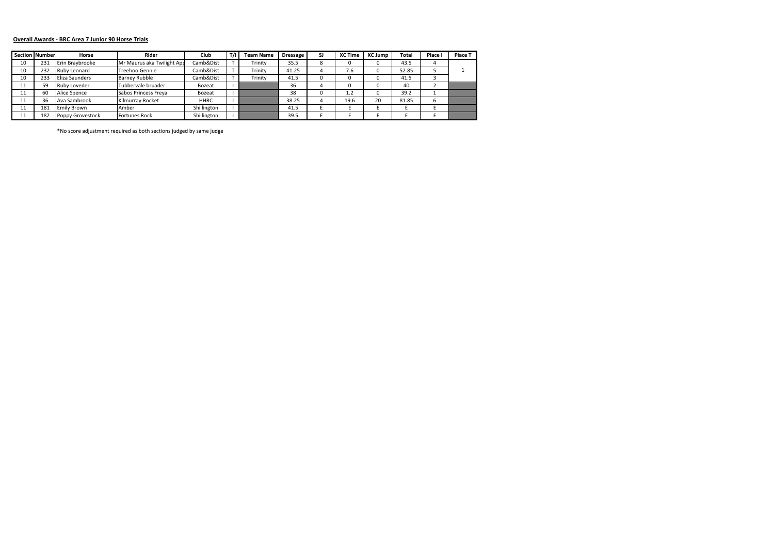# **Overall Awards - BRC Area 7 Junior 90 Horse Trials**

|    | <b>Section   Number</b> | Horse               | Rider                      | Club          | T/I | <b>Team Name</b> | <b>Dressage</b> | SJ | <b>XC Time</b> | <b>XC Jump</b> | Total | Place | Place T |
|----|-------------------------|---------------------|----------------------------|---------------|-----|------------------|-----------------|----|----------------|----------------|-------|-------|---------|
| 10 | 231                     | Erin Braybrooke     | Mr Maurus aka Twilight Apr | Camb&Dist     |     | Trinity          | 35.5            |    | 0              |                | 43.5  |       |         |
| 10 | 232                     | <b>Ruby Leonard</b> | Treehoo Gennie             | Camb&Dist     |     | Trinity          | 41.25           |    | 7.6            |                | 52.85 |       |         |
| 10 | 233                     | Eliza Saunders      | <b>Barney Rubble</b>       | Camb&Dist     |     | Trinity          | 41.5            |    |                |                | 41.5  |       |         |
| ᆠ  | 59                      | <b>Ruby Loveder</b> | Tubbervale bruader         | <b>Bozeat</b> |     |                  | 36              |    | 0              |                | 40    |       |         |
| 11 | 60                      | Alice Spence        | Sabos Princess Freya       | Bozeat        |     |                  | 38              |    | 1.2            |                | 39.2  |       |         |
| ᆠ  | 36                      | Ava Sambrook        | Kilmurray Rocket           | <b>HHRC</b>   |     |                  | 38.25           |    | 19.6           | 20             | 81.85 |       |         |
| ᆠᆂ | 181                     | <b>Emily Brown</b>  | Amber                      | Shillington   |     |                  | 41.5            |    |                |                |       |       |         |
|    | 182                     | Poppy Grovestock    | <b>Fortunes Rock</b>       | Shillington   |     |                  | 39.5            |    |                |                |       |       |         |

\*No score adjustment required as both sections judged by same judge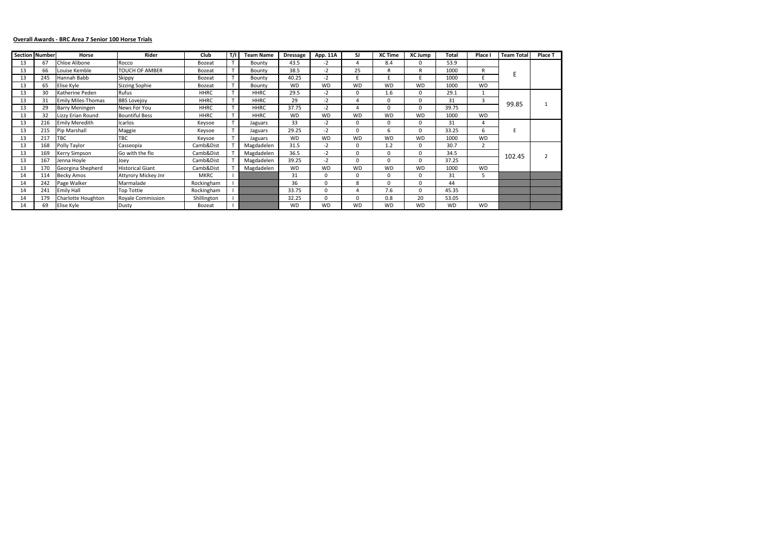# **Overall Awards - BRC Area 7 Senior 100 Horse Trials**

|    | <b>Section Number</b> | Horse                     | <b>Rider</b>             | <b>Club</b>   | T/I | <b>Team Name</b> | <b>Dressage</b> | App. 11A  | SJ.       | <b>XC Time</b> | <b>XC Jump</b> | Total     | Place I   | <b>Team Total</b> | Place T        |
|----|-----------------------|---------------------------|--------------------------|---------------|-----|------------------|-----------------|-----------|-----------|----------------|----------------|-----------|-----------|-------------------|----------------|
| 13 | 67                    | Chloe Alibone             | Rocco                    | <b>Bozeat</b> |     | Bounty           | 43.5            | $-2$      | 4         | 8.4            | 0              | 53.9      |           |                   |                |
| 13 | 66                    | Louise Kemble             | TOUCH OF AMBER           | <b>Bozeat</b> |     | Bounty           | 38.5            | $-2$      | 25        | R              | R              | 1000      | R         |                   |                |
| 13 | 245                   | Hannah Babb               | Skippy                   | Bozeat        |     | Bounty           | 40.25           | $-2$      |           |                |                | 1000      | F         |                   |                |
| 13 | 65                    | Elise Kyle                | Sizzing Sophie           | Bozeat        |     | Bounty           | <b>WD</b>       | <b>WD</b> | <b>WD</b> | <b>WD</b>      | <b>WD</b>      | 1000      | <b>WD</b> |                   |                |
| 13 | 30                    | Katherine Peden           | Rufus                    | <b>HHRC</b>   |     | <b>HHRC</b>      | 29.5            | $-2$      | $\Omega$  | 1.6            | 0              | 29.1      |           |                   |                |
| 13 | 31                    | <b>Emily Miles-Thomas</b> | <b>BBS Lovejoy</b>       | <b>HHRC</b>   |     | <b>HHRC</b>      | 29              | $-2$      |           | $\Omega$       | 0              | 31        | 3         |                   |                |
| 13 | 29                    | <b>Barry Meningen</b>     | News For You             | <b>HHRC</b>   |     | <b>HHRC</b>      | 37.75           | $-2$      |           | O              |                | 39.75     |           | 99.85             |                |
| 13 | 32                    | Lizzy Erian Round         | <b>Bountiful Bess</b>    | <b>HHRC</b>   |     | <b>HHRC</b>      | <b>WD</b>       | <b>WD</b> | <b>WD</b> | <b>WD</b>      | <b>WD</b>      | 1000      | <b>WD</b> |                   |                |
| 13 | 216                   | <b>Emily Meredith</b>     | Icarlos                  | Keysoe        |     | Jaguars          | 33              | $-2$      | 0         | 0              | 0              | 31        | 4         |                   |                |
| 13 | 215                   | Pip Marshall              | Maggie                   | Keysoe        |     | Jaguars          | 29.25           | $-2$      | $\Omega$  | 6              | 0              | 33.25     | 6         |                   |                |
| 13 | 217                   | <b>TBC</b>                | TBC                      | Keysoe        |     | Jaguars          | <b>WD</b>       | <b>WD</b> | <b>WD</b> | <b>WD</b>      | <b>WD</b>      | 1000      | <b>WD</b> |                   |                |
| 13 | 168                   | Polly Taylor              | Casseopia                | Camb&Dist     |     | Magdadelen       | 31.5            | $-2$      | 0         | 1.2            | 0              | 30.7      |           |                   |                |
| 13 | 169                   | <b>Kerry Simpson</b>      | Go with the flo          | Camb&Dist     |     | Magdadelen       | 36.5            | $-2$      | 0         | $\Omega$       | 0              | 34.5      |           |                   | $\overline{2}$ |
| 13 | 167                   | Jenna Hoyle               | Joey                     | Camb&Dist     |     | Magdadelen       | 39.25           | $-2$      | 0         | $\Omega$       | $\Omega$       | 37.25     |           | 102.45            |                |
| 13 | 170                   | Georgina Shepherd         | Historical Giant         | Camb&Dist     |     | Magdadelen       | <b>WD</b>       | <b>WD</b> | <b>WD</b> | <b>WD</b>      | <b>WD</b>      | 1000      | <b>WD</b> |                   |                |
| 14 | 114                   | <b>Becky Amos</b>         | Attyrory Mickey Jnr      | <b>MKRC</b>   |     |                  | 31              | $\Omega$  | 0         | $\Omega$       | 0              | 31        | כ         |                   |                |
| 14 | 242                   | Page Walker               | Marmalade                | Rockingham    |     |                  | 36              | $\Omega$  | 8         | $\Omega$       | 0              | 44        |           |                   |                |
| 14 | 241                   | <b>Emily Hall</b>         | Top Tottie               | Rockingham    |     |                  | 33.75           | $\Omega$  |           | 7.6            | 0              | 45.35     |           |                   |                |
| 14 | 179                   | Charlotte Houghton        | <b>Royale Commission</b> | Shillington   |     |                  | 32.25           | $\Omega$  | $\Omega$  | 0.8            | 20             | 53.05     |           |                   |                |
| 14 | 69                    | Elise Kyle                | Dusty                    | <b>Bozeat</b> |     |                  | <b>WD</b>       | <b>WD</b> | <b>WD</b> | <b>WD</b>      | <b>WD</b>      | <b>WD</b> | <b>WD</b> |                   |                |